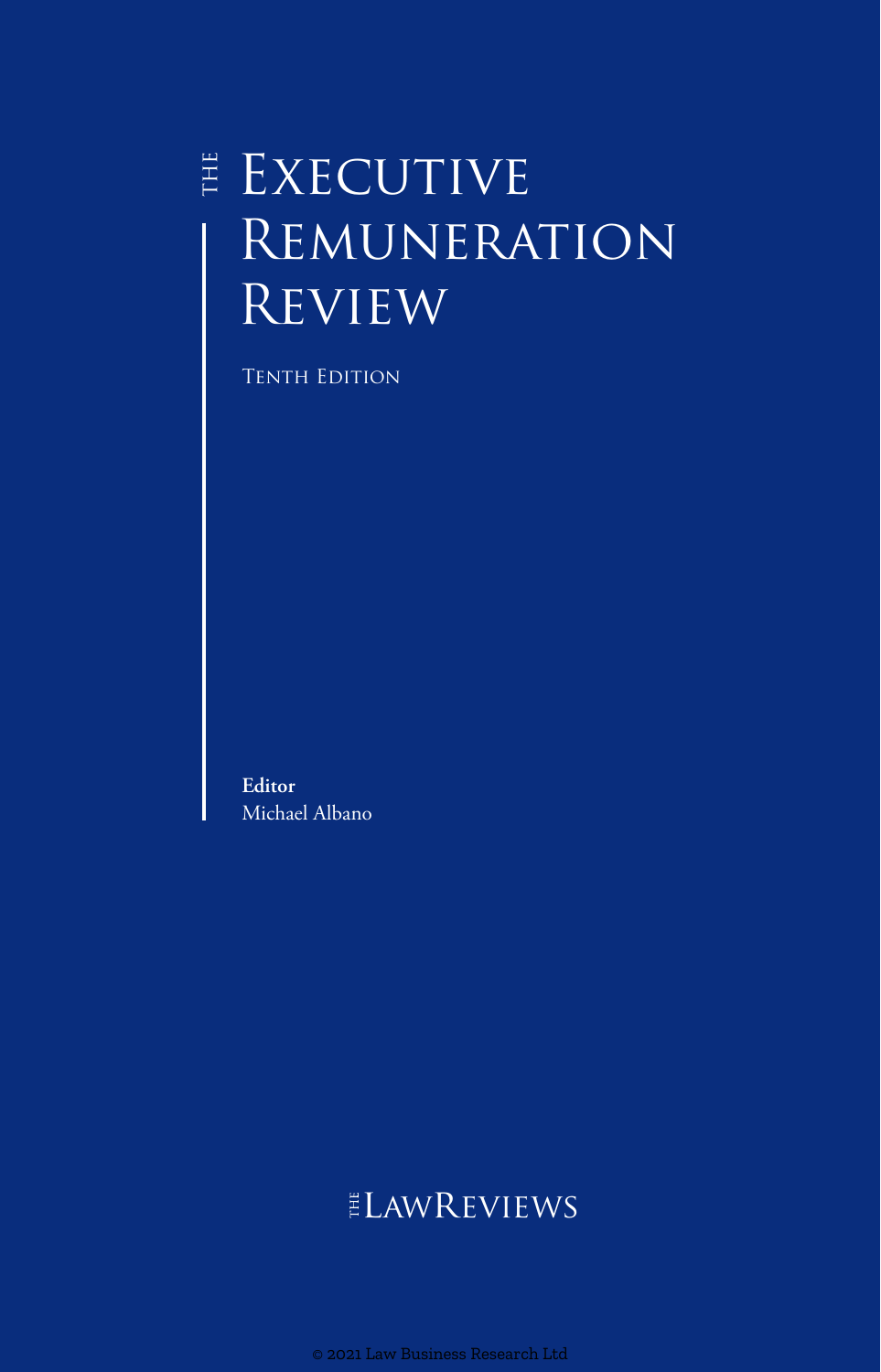# $E$  EXECUTIVE **REMUNERATION REVIEW**

Tenth Edition

**Editor** Michael Albano

# **ELAWREVIEWS**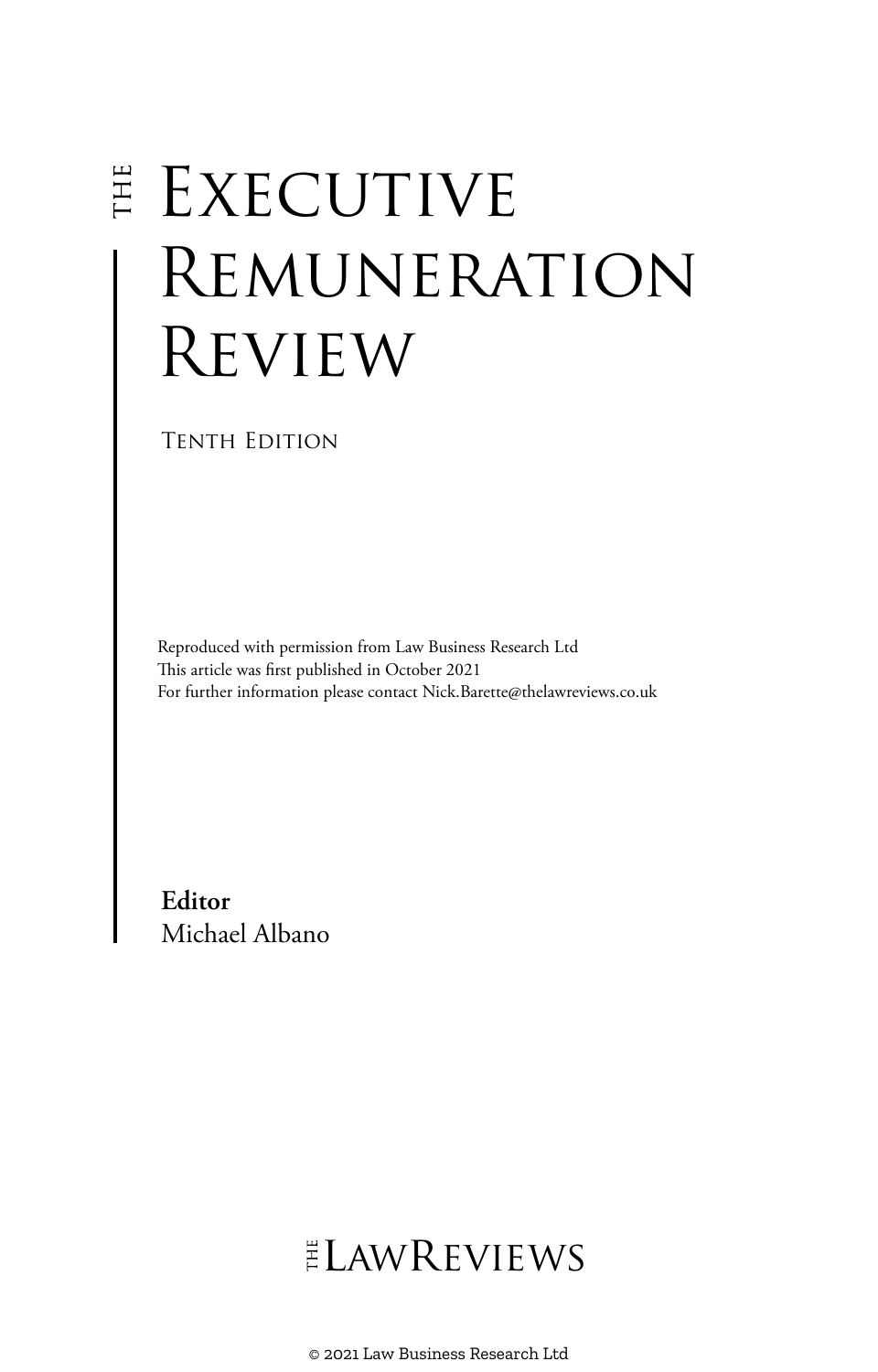# **EXECUTIVE** Remuneration Review

Tenth Edition

Reproduced with permission from Law Business Research Ltd This article was first published in October 2021 For further information please contact Nick.Barette@thelawreviews.co.uk

**Editor** Michael Albano

# ELAWREVIEWS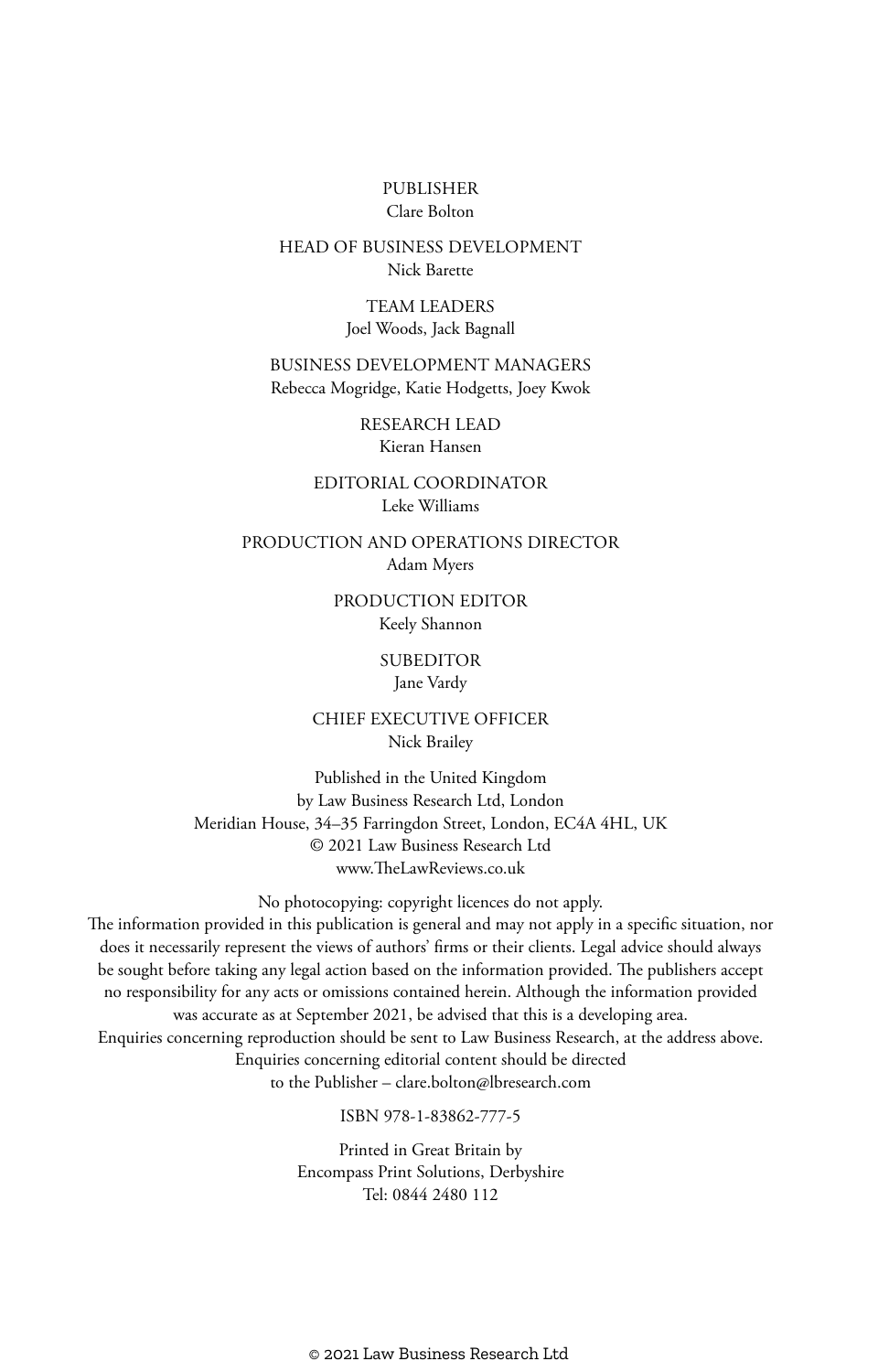#### PUBLISHER Clare Bolton

#### HEAD OF BUSINESS DEVELOPMENT Nick Barette

TEAM LEADERS Joel Woods, Jack Bagnall

BUSINESS DEVELOPMENT MANAGERS Rebecca Mogridge, Katie Hodgetts, Joey Kwok

> RESEARCH LEAD Kieran Hansen

EDITORIAL COORDINATOR Leke Williams

PRODUCTION AND OPERATIONS DIRECTOR Adam Myers

> PRODUCTION EDITOR Keely Shannon

> > **SUBEDITOR**

Jane Vardy

CHIEF EXECUTIVE OFFICER Nick Brailey

Published in the United Kingdom by Law Business Research Ltd, London Meridian House, 34–35 Farringdon Street, London, EC4A 4HL, UK © 2021 Law Business Research Ltd www.TheLawReviews.co.uk

No photocopying: copyright licences do not apply. The information provided in this publication is general and may not apply in a specific situation, nor does it necessarily represent the views of authors' firms or their clients. Legal advice should always be sought before taking any legal action based on the information provided. The publishers accept no responsibility for any acts or omissions contained herein. Although the information provided was accurate as at September 2021, be advised that this is a developing area. Enquiries concerning reproduction should be sent to Law Business Research, at the address above. Enquiries concerning editorial content should be directed to the Publisher – clare.bolton@lbresearch.com

ISBN 978-1-83862-777-5

Printed in Great Britain by Encompass Print Solutions, Derbyshire Tel: 0844 2480 112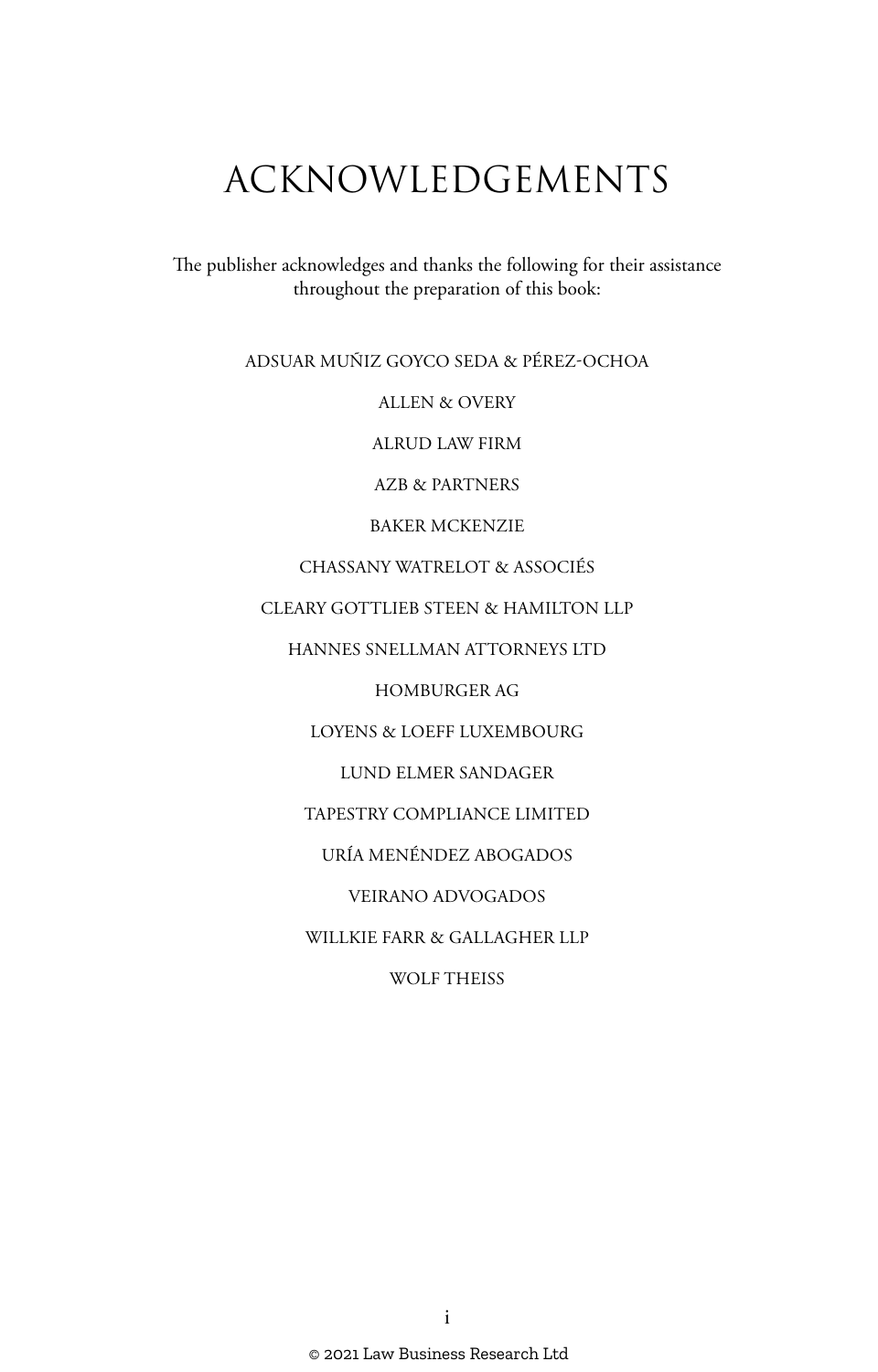# ACKNOWLEDGEMENTS

The publisher acknowledges and thanks the following for their assistance throughout the preparation of this book:

ADSUAR MUÑIZ GOYCO SEDA & PÉREZ-OCHOA

ALLEN & OVERY

ALRUD LAW FIRM

AZB & PARTNERS

BAKER MCKENZIE

CHASSANY WATRELOT & ASSOCIÉS

CLEARY GOTTLIEB STEEN & HAMILTON LLP

HANNES SNELLMAN ATTORNEYS LTD

HOMBURGER AG

LOYENS & LOEFF LUXEMBOURG

LUND ELMER SANDAGER

TAPESTRY COMPLIANCE LIMITED

URÍA MENÉNDEZ ABOGADOS

VEIRANO ADVOGADOS

WILLKIE FARR & GALLAGHER LLP

WOLF THEISS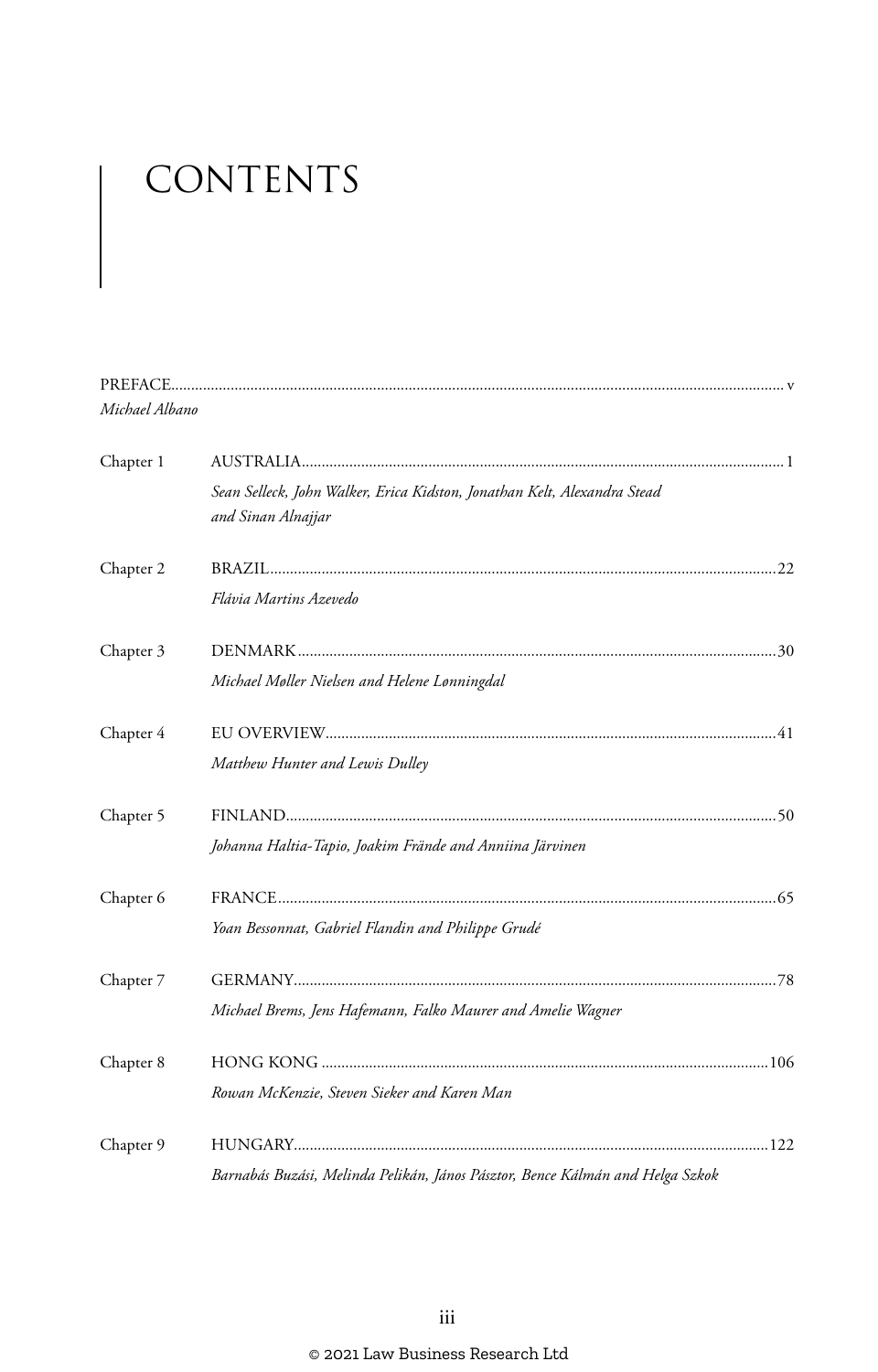# CONTENTS

| Michael Albano |                                                                                                |  |
|----------------|------------------------------------------------------------------------------------------------|--|
| Chapter 1      |                                                                                                |  |
|                | Sean Selleck, John Walker, Erica Kidston, Jonathan Kelt, Alexandra Stead<br>and Sinan Alnajjar |  |
| Chapter 2      |                                                                                                |  |
|                | Flávia Martins Azevedo                                                                         |  |
| Chapter 3      |                                                                                                |  |
|                | Michael Møller Nielsen and Helene Lønningdal                                                   |  |
| Chapter 4      |                                                                                                |  |
|                | Matthew Hunter and Lewis Dulley                                                                |  |
| Chapter 5      |                                                                                                |  |
|                | Johanna Haltia-Tapio, Joakim Frände and Anniina Järvinen                                       |  |
| Chapter 6      |                                                                                                |  |
|                | Yoan Bessonnat, Gabriel Flandin and Philippe Grudé                                             |  |
| Chapter 7      |                                                                                                |  |
|                | Michael Brems, Jens Hafemann, Falko Maurer and Amelie Wagner                                   |  |
| Chapter 8      |                                                                                                |  |
|                | Rowan McKenzie, Steven Sieker and Karen Man                                                    |  |
| Chapter 9      |                                                                                                |  |
|                | Barnabás Buzási, Melinda Pelikán, János Pásztor, Bence Kálmán and Helga Szkok                  |  |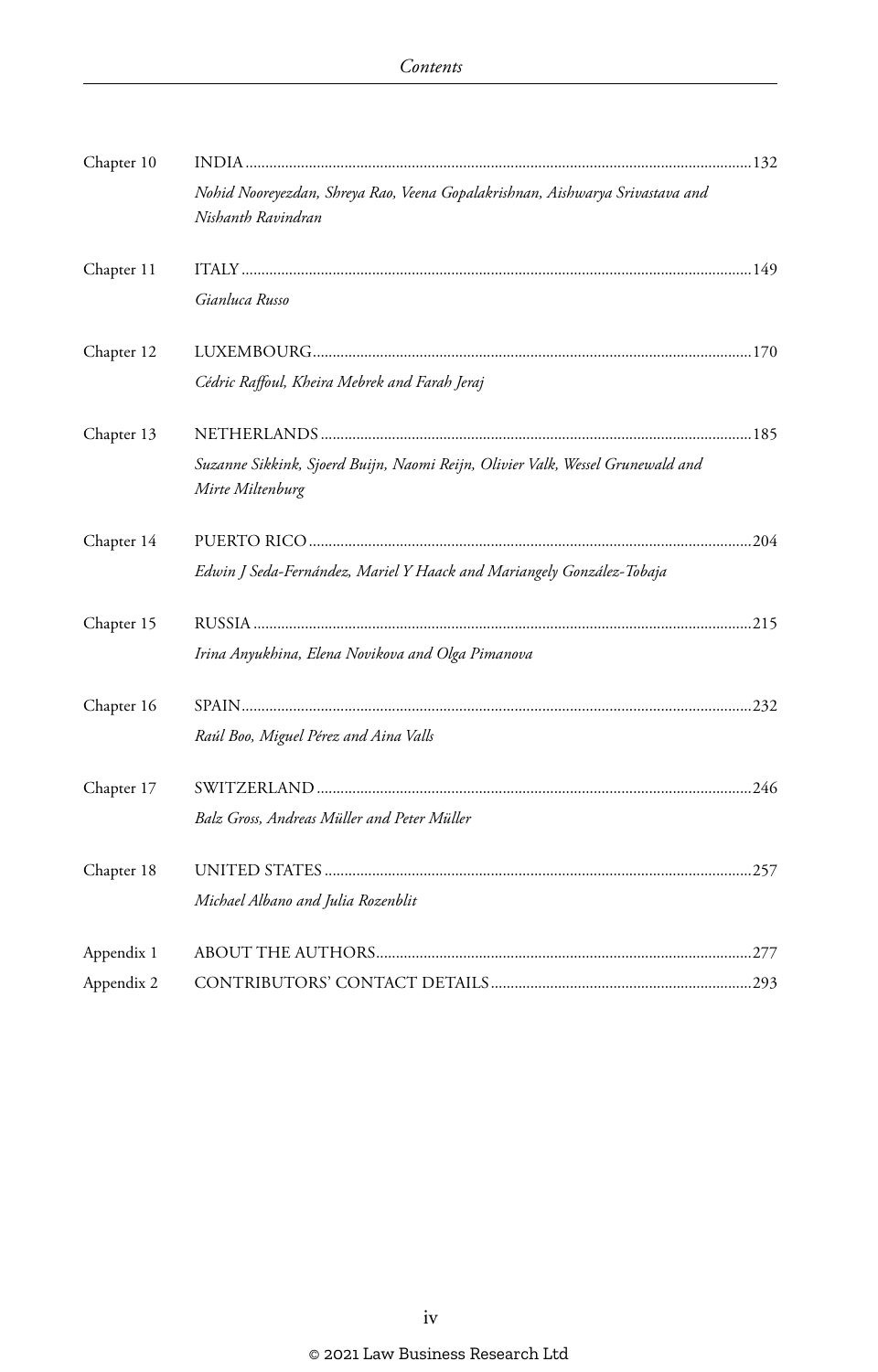| Chapter 10 |                                                                                                     |  |
|------------|-----------------------------------------------------------------------------------------------------|--|
|            | Nohid Nooreyezdan, Shreya Rao, Veena Gopalakrishnan, Aishwarya Srivastava and<br>Nishanth Ravindran |  |
| Chapter 11 |                                                                                                     |  |
|            | Gianluca Russo                                                                                      |  |
| Chapter 12 |                                                                                                     |  |
|            | Cédric Raffoul, Kheira Mebrek and Farah Jeraj                                                       |  |
| Chapter 13 |                                                                                                     |  |
|            | Suzanne Sikkink, Sjoerd Buijn, Naomi Reijn, Olivier Valk, Wessel Grunewald and<br>Mirte Miltenburg  |  |
| Chapter 14 |                                                                                                     |  |
|            | Edwin J Seda-Fernández, Mariel Y Haack and Mariangely González-Tobaja                               |  |
| Chapter 15 |                                                                                                     |  |
|            | Irina Anyukhina, Elena Novikova and Olga Pimanova                                                   |  |
| Chapter 16 |                                                                                                     |  |
|            | Raúl Boo, Miguel Pérez and Aina Valls                                                               |  |
| Chapter 17 |                                                                                                     |  |
|            | Balz Gross, Andreas Müller and Peter Müller                                                         |  |
| Chapter 18 |                                                                                                     |  |
|            | Michael Albano and Julia Rozenblit                                                                  |  |
| Appendix 1 |                                                                                                     |  |
| Appendix 2 |                                                                                                     |  |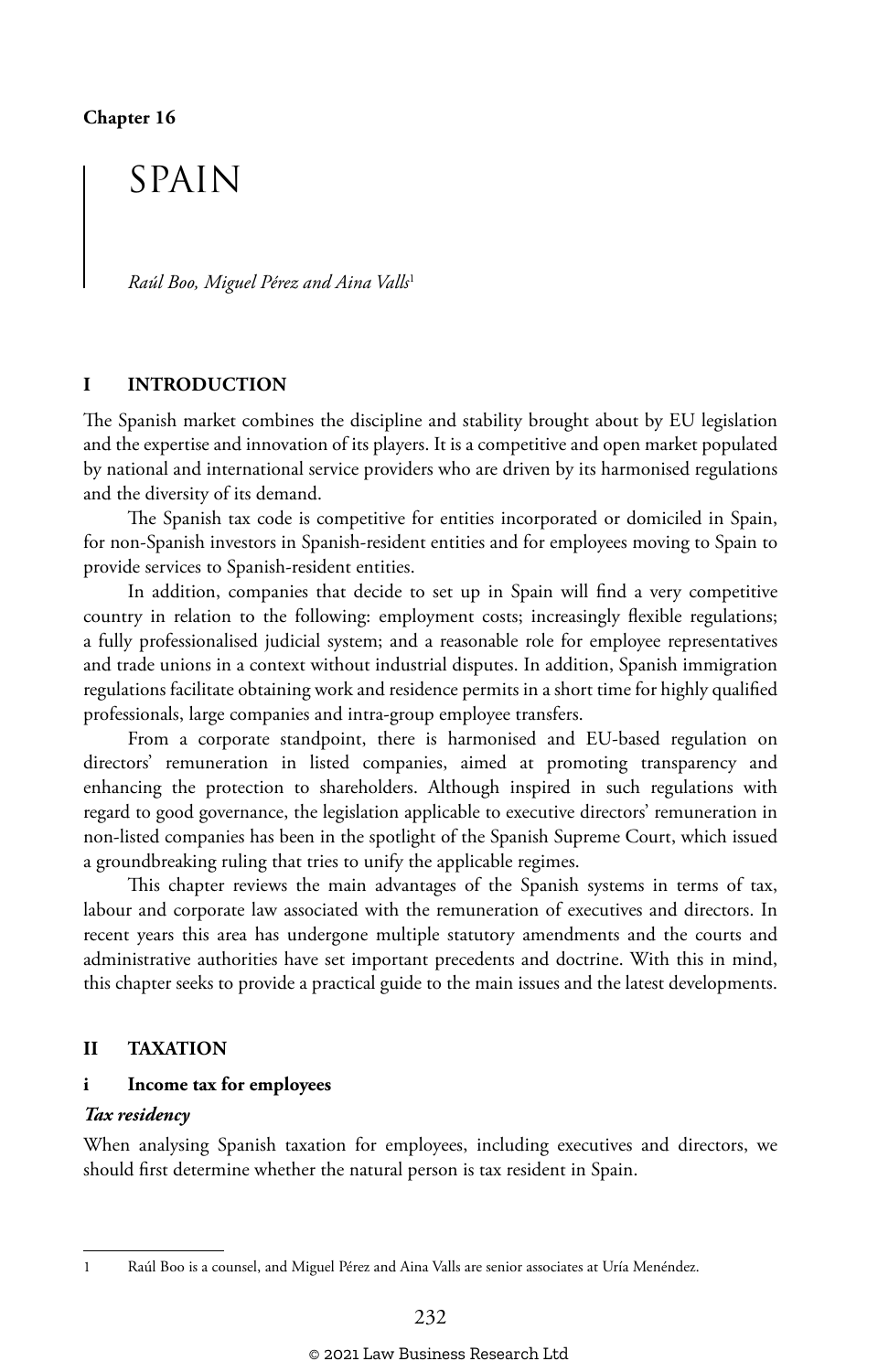## SPAIN

*Raúl Boo, Miguel Pérez and Aina Valls*<sup>1</sup>

#### **I INTRODUCTION**

The Spanish market combines the discipline and stability brought about by EU legislation and the expertise and innovation of its players. It is a competitive and open market populated by national and international service providers who are driven by its harmonised regulations and the diversity of its demand.

The Spanish tax code is competitive for entities incorporated or domiciled in Spain, for non-Spanish investors in Spanish-resident entities and for employees moving to Spain to provide services to Spanish-resident entities.

In addition, companies that decide to set up in Spain will find a very competitive country in relation to the following: employment costs; increasingly flexible regulations; a fully professionalised judicial system; and a reasonable role for employee representatives and trade unions in a context without industrial disputes. In addition, Spanish immigration regulations facilitate obtaining work and residence permits in a short time for highly qualified professionals, large companies and intra-group employee transfers.

From a corporate standpoint, there is harmonised and EU-based regulation on directors' remuneration in listed companies, aimed at promoting transparency and enhancing the protection to shareholders. Although inspired in such regulations with regard to good governance, the legislation applicable to executive directors' remuneration in non-listed companies has been in the spotlight of the Spanish Supreme Court, which issued a groundbreaking ruling that tries to unify the applicable regimes.

This chapter reviews the main advantages of the Spanish systems in terms of tax, labour and corporate law associated with the remuneration of executives and directors. In recent years this area has undergone multiple statutory amendments and the courts and administrative authorities have set important precedents and doctrine. With this in mind, this chapter seeks to provide a practical guide to the main issues and the latest developments.

#### **II TAXATION**

#### **i Income tax for employees**

#### *Tax residency*

When analysing Spanish taxation for employees, including executives and directors, we should first determine whether the natural person is tax resident in Spain.

<sup>1</sup> Raúl Boo is a counsel, and Miguel Pérez and Aina Valls are senior associates at Uría Menéndez.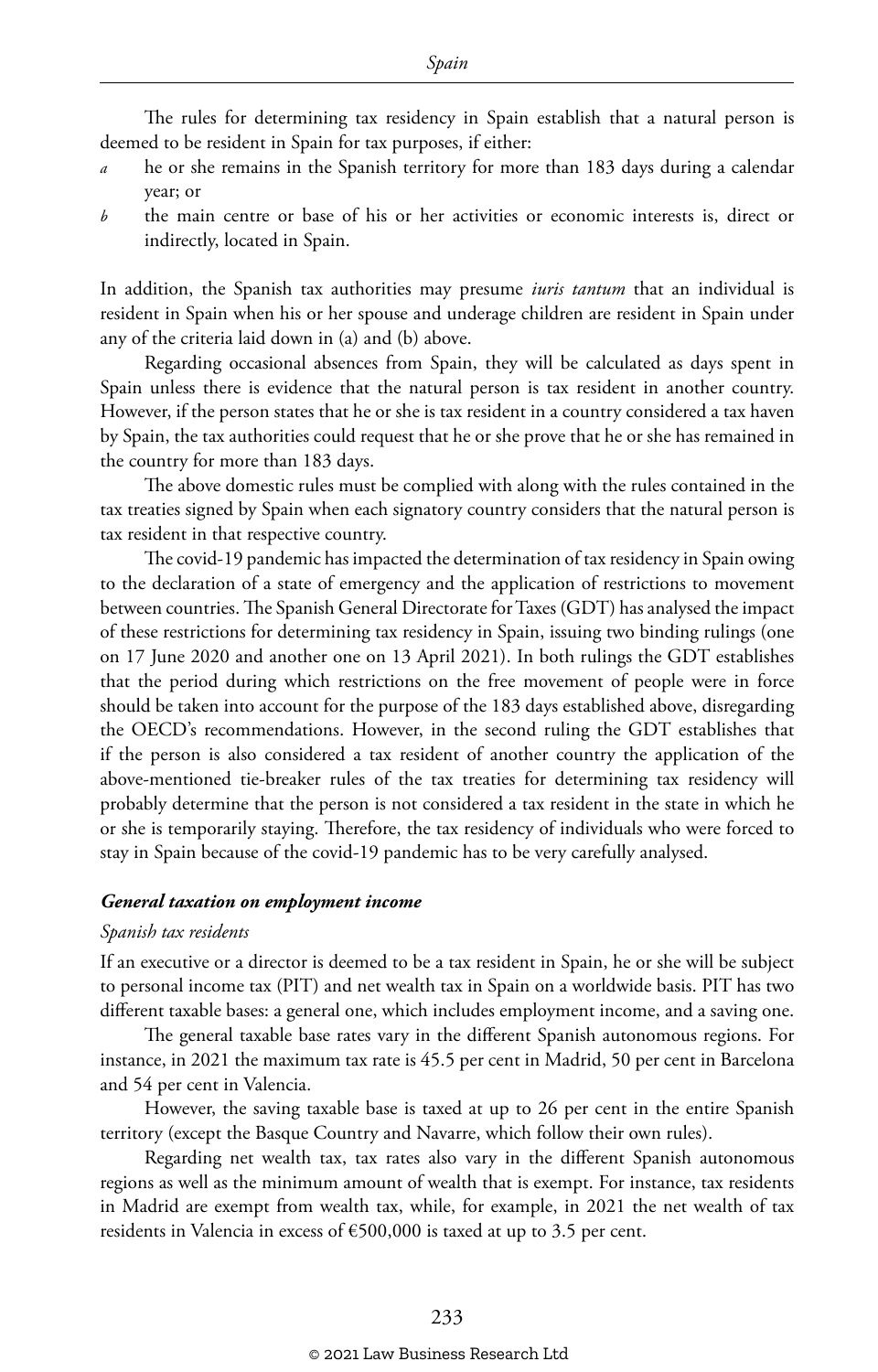The rules for determining tax residency in Spain establish that a natural person is deemed to be resident in Spain for tax purposes, if either:

- he or she remains in the Spanish territory for more than 183 days during a calendar year; or
- *b* the main centre or base of his or her activities or economic interests is, direct or indirectly, located in Spain.

In addition, the Spanish tax authorities may presume *iuris tantum* that an individual is resident in Spain when his or her spouse and underage children are resident in Spain under any of the criteria laid down in (a) and (b) above.

Regarding occasional absences from Spain, they will be calculated as days spent in Spain unless there is evidence that the natural person is tax resident in another country. However, if the person states that he or she is tax resident in a country considered a tax haven by Spain, the tax authorities could request that he or she prove that he or she has remained in the country for more than 183 days.

The above domestic rules must be complied with along with the rules contained in the tax treaties signed by Spain when each signatory country considers that the natural person is tax resident in that respective country.

The covid-19 pandemic has impacted the determination of tax residency in Spain owing to the declaration of a state of emergency and the application of restrictions to movement between countries. The Spanish General Directorate for Taxes (GDT) has analysed the impact of these restrictions for determining tax residency in Spain, issuing two binding rulings (one on 17 June 2020 and another one on 13 April 2021). In both rulings the GDT establishes that the period during which restrictions on the free movement of people were in force should be taken into account for the purpose of the 183 days established above, disregarding the OECD's recommendations. However, in the second ruling the GDT establishes that if the person is also considered a tax resident of another country the application of the above-mentioned tie-breaker rules of the tax treaties for determining tax residency will probably determine that the person is not considered a tax resident in the state in which he or she is temporarily staying. Therefore, the tax residency of individuals who were forced to stay in Spain because of the covid-19 pandemic has to be very carefully analysed.

#### *General taxation on employment income*

#### *Spanish tax residents*

If an executive or a director is deemed to be a tax resident in Spain, he or she will be subject to personal income tax (PIT) and net wealth tax in Spain on a worldwide basis. PIT has two different taxable bases: a general one, which includes employment income, and a saving one.

The general taxable base rates vary in the different Spanish autonomous regions. For instance, in 2021 the maximum tax rate is 45.5 per cent in Madrid, 50 per cent in Barcelona and 54 per cent in Valencia.

However, the saving taxable base is taxed at up to 26 per cent in the entire Spanish territory (except the Basque Country and Navarre, which follow their own rules).

Regarding net wealth tax, tax rates also vary in the different Spanish autonomous regions as well as the minimum amount of wealth that is exempt. For instance, tax residents in Madrid are exempt from wealth tax, while, for example, in 2021 the net wealth of tax residents in Valencia in excess of €500,000 is taxed at up to 3.5 per cent.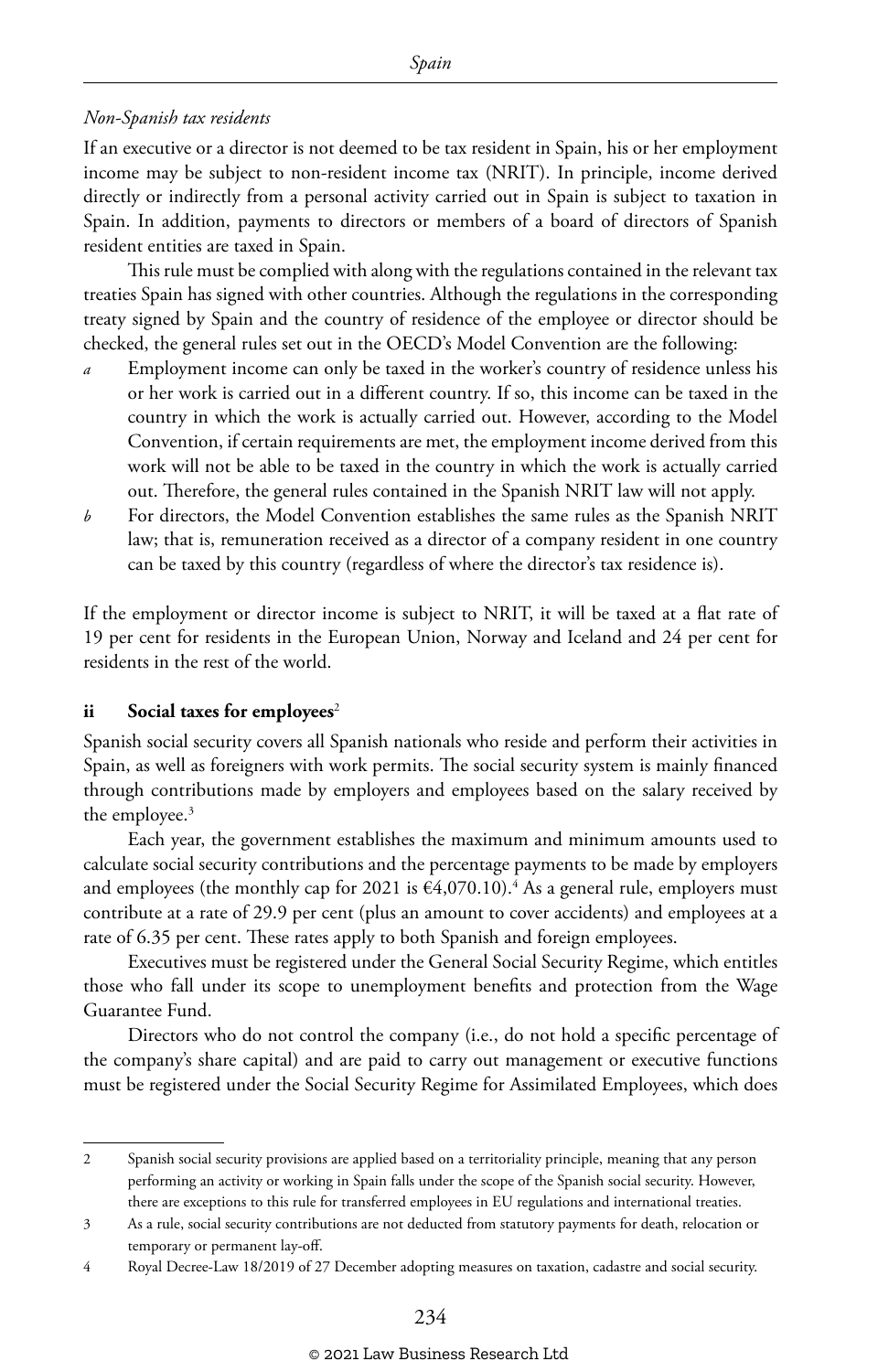#### *Non-Spanish tax residents*

If an executive or a director is not deemed to be tax resident in Spain, his or her employment income may be subject to non-resident income tax (NRIT). In principle, income derived directly or indirectly from a personal activity carried out in Spain is subject to taxation in Spain. In addition, payments to directors or members of a board of directors of Spanish resident entities are taxed in Spain.

This rule must be complied with along with the regulations contained in the relevant tax treaties Spain has signed with other countries. Although the regulations in the corresponding treaty signed by Spain and the country of residence of the employee or director should be checked, the general rules set out in the OECD's Model Convention are the following:

- *a* Employment income can only be taxed in the worker's country of residence unless his or her work is carried out in a different country. If so, this income can be taxed in the country in which the work is actually carried out. However, according to the Model Convention, if certain requirements are met, the employment income derived from this work will not be able to be taxed in the country in which the work is actually carried out. Therefore, the general rules contained in the Spanish NRIT law will not apply.
- *b* For directors, the Model Convention establishes the same rules as the Spanish NRIT law; that is, remuneration received as a director of a company resident in one country can be taxed by this country (regardless of where the director's tax residence is).

If the employment or director income is subject to NRIT, it will be taxed at a flat rate of 19 per cent for residents in the European Union, Norway and Iceland and 24 per cent for residents in the rest of the world.

#### **ii** Social taxes for employees<sup>2</sup>

Spanish social security covers all Spanish nationals who reside and perform their activities in Spain, as well as foreigners with work permits. The social security system is mainly financed through contributions made by employers and employees based on the salary received by the employee.<sup>3</sup>

Each year, the government establishes the maximum and minimum amounts used to calculate social security contributions and the percentage payments to be made by employers and employees (the monthly cap for 2021 is  $\epsilon$ 4,070.10).<sup>4</sup> As a general rule, employers must contribute at a rate of 29.9 per cent (plus an amount to cover accidents) and employees at a rate of 6.35 per cent. These rates apply to both Spanish and foreign employees.

Executives must be registered under the General Social Security Regime, which entitles those who fall under its scope to unemployment benefits and protection from the Wage Guarantee Fund.

Directors who do not control the company (i.e., do not hold a specific percentage of the company's share capital) and are paid to carry out management or executive functions must be registered under the Social Security Regime for Assimilated Employees, which does

<sup>2</sup> Spanish social security provisions are applied based on a territoriality principle, meaning that any person performing an activity or working in Spain falls under the scope of the Spanish social security. However, there are exceptions to this rule for transferred employees in EU regulations and international treaties.

<sup>3</sup> As a rule, social security contributions are not deducted from statutory payments for death, relocation or temporary or permanent lay-off.

<sup>4</sup> Royal Decree-Law 18/2019 of 27 December adopting measures on taxation, cadastre and social security.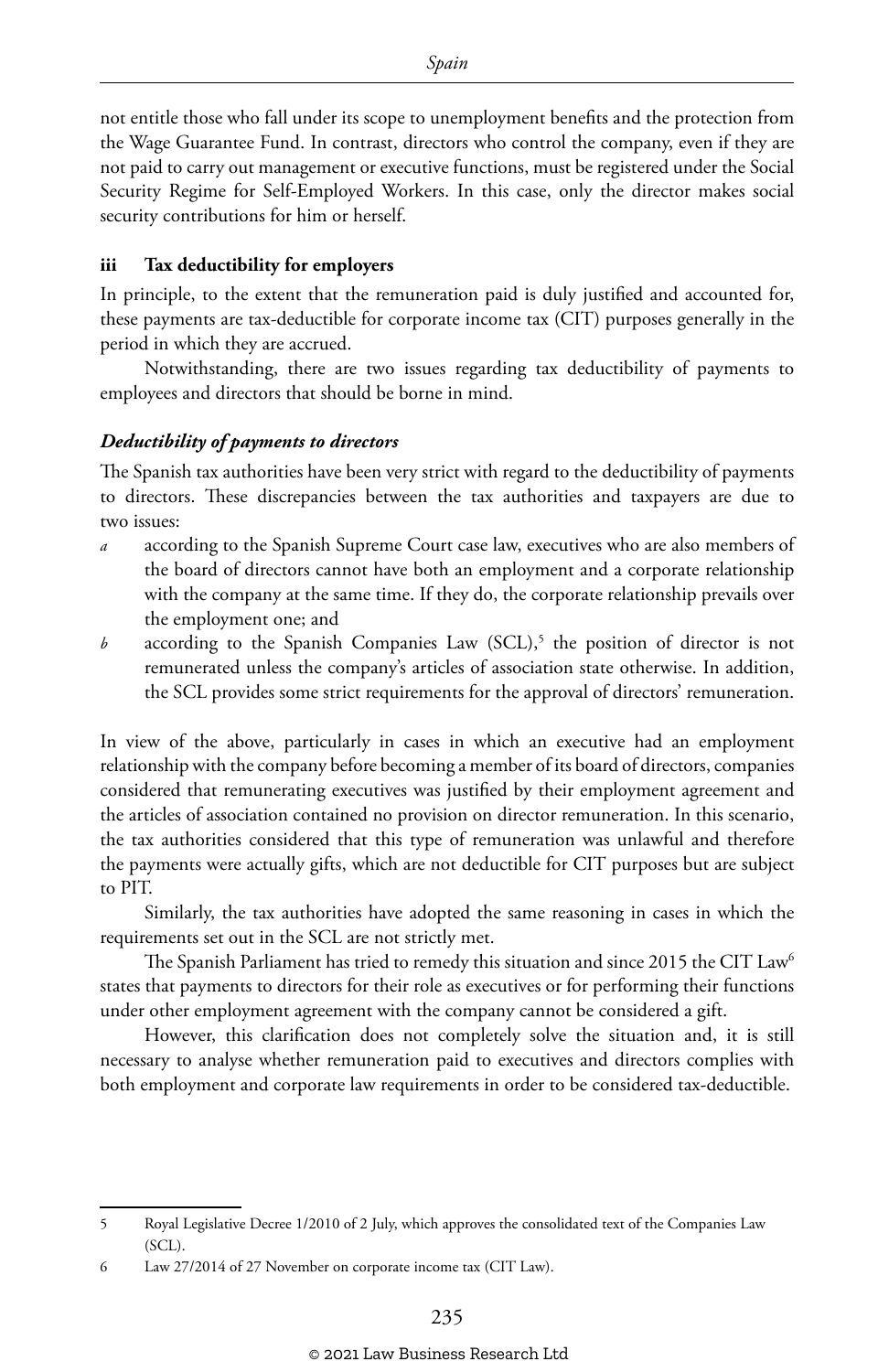not entitle those who fall under its scope to unemployment benefits and the protection from the Wage Guarantee Fund. In contrast, directors who control the company, even if they are not paid to carry out management or executive functions, must be registered under the Social Security Regime for Self-Employed Workers. In this case, only the director makes social security contributions for him or herself.

#### **iii Tax deductibility for employers**

In principle, to the extent that the remuneration paid is duly justified and accounted for, these payments are tax-deductible for corporate income tax (CIT) purposes generally in the period in which they are accrued.

Notwithstanding, there are two issues regarding tax deductibility of payments to employees and directors that should be borne in mind.

#### *Deductibility of payments to directors*

The Spanish tax authorities have been very strict with regard to the deductibility of payments to directors. These discrepancies between the tax authorities and taxpayers are due to two issues:

- *a* according to the Spanish Supreme Court case law, executives who are also members of the board of directors cannot have both an employment and a corporate relationship with the company at the same time. If they do, the corporate relationship prevails over the employment one; and
- $b$  according to the Spanish Companies Law  $(SCL)$ ,<sup>5</sup> the position of director is not remunerated unless the company's articles of association state otherwise. In addition, the SCL provides some strict requirements for the approval of directors' remuneration.

In view of the above, particularly in cases in which an executive had an employment relationship with the company before becoming a member of its board of directors, companies considered that remunerating executives was justified by their employment agreement and the articles of association contained no provision on director remuneration. In this scenario, the tax authorities considered that this type of remuneration was unlawful and therefore the payments were actually gifts, which are not deductible for CIT purposes but are subject to PIT.

Similarly, the tax authorities have adopted the same reasoning in cases in which the requirements set out in the SCL are not strictly met.

The Spanish Parliament has tried to remedy this situation and since 2015 the CIT Law<sup>6</sup> states that payments to directors for their role as executives or for performing their functions under other employment agreement with the company cannot be considered a gift.

However, this clarification does not completely solve the situation and, it is still necessary to analyse whether remuneration paid to executives and directors complies with both employment and corporate law requirements in order to be considered tax-deductible.

<sup>5</sup> Royal Legislative Decree 1/2010 of 2 July, which approves the consolidated text of the Companies Law (SCL).

<sup>6</sup> Law 27/2014 of 27 November on corporate income tax (CIT Law).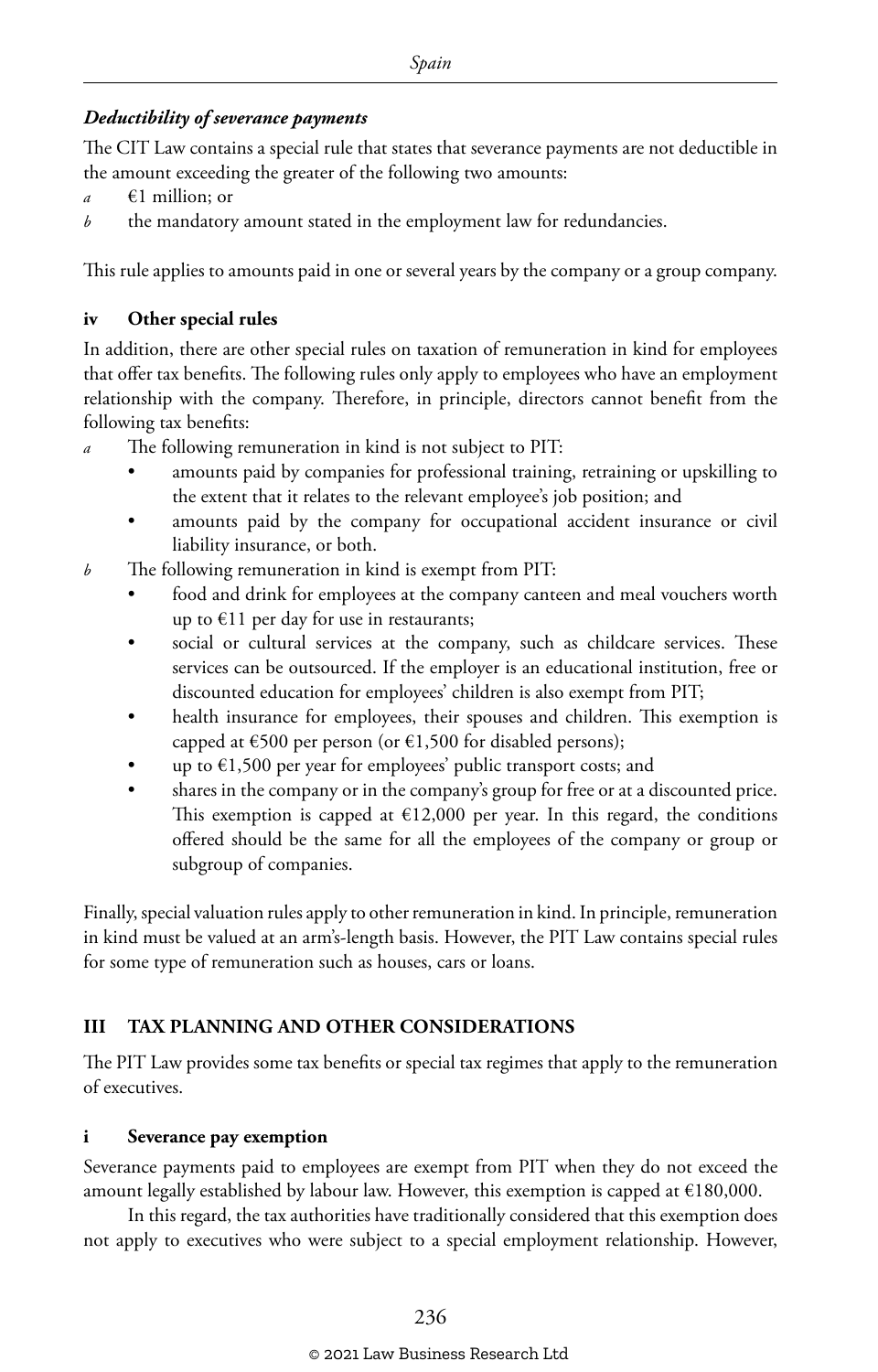#### *Deductibility of severance payments*

The CIT Law contains a special rule that states that severance payments are not deductible in the amount exceeding the greater of the following two amounts:

- *a* €1 million; or
- *b* the mandatory amount stated in the employment law for redundancies.

This rule applies to amounts paid in one or several years by the company or a group company.

#### **iv Other special rules**

In addition, there are other special rules on taxation of remuneration in kind for employees that offer tax benefits. The following rules only apply to employees who have an employment relationship with the company. Therefore, in principle, directors cannot benefit from the following tax benefits:

- *a* The following remuneration in kind is not subject to PIT:
	- amounts paid by companies for professional training, retraining or upskilling to the extent that it relates to the relevant employee's job position; and
	- amounts paid by the company for occupational accident insurance or civil liability insurance, or both.
- *b* The following remuneration in kind is exempt from PIT:
	- food and drink for employees at the company canteen and meal vouchers worth up to €11 per day for use in restaurants;
	- social or cultural services at the company, such as childcare services. These services can be outsourced. If the employer is an educational institution, free or discounted education for employees' children is also exempt from PIT;
	- health insurance for employees, their spouses and children. This exemption is capped at  $\epsilon$ 500 per person (or  $\epsilon$ 1,500 for disabled persons);
	- up to  $\epsilon$ 1,500 per year for employees' public transport costs; and
	- shares in the company or in the company's group for free or at a discounted price. This exemption is capped at  $\epsilon$ 12,000 per year. In this regard, the conditions offered should be the same for all the employees of the company or group or subgroup of companies.

Finally, special valuation rules apply to other remuneration in kind. In principle, remuneration in kind must be valued at an arm's-length basis. However, the PIT Law contains special rules for some type of remuneration such as houses, cars or loans.

#### **III TAX PLANNING AND OTHER CONSIDERATIONS**

The PIT Law provides some tax benefits or special tax regimes that apply to the remuneration of executives.

#### **i Severance pay exemption**

Severance payments paid to employees are exempt from PIT when they do not exceed the amount legally established by labour law. However, this exemption is capped at €180,000.

In this regard, the tax authorities have traditionally considered that this exemption does not apply to executives who were subject to a special employment relationship. However,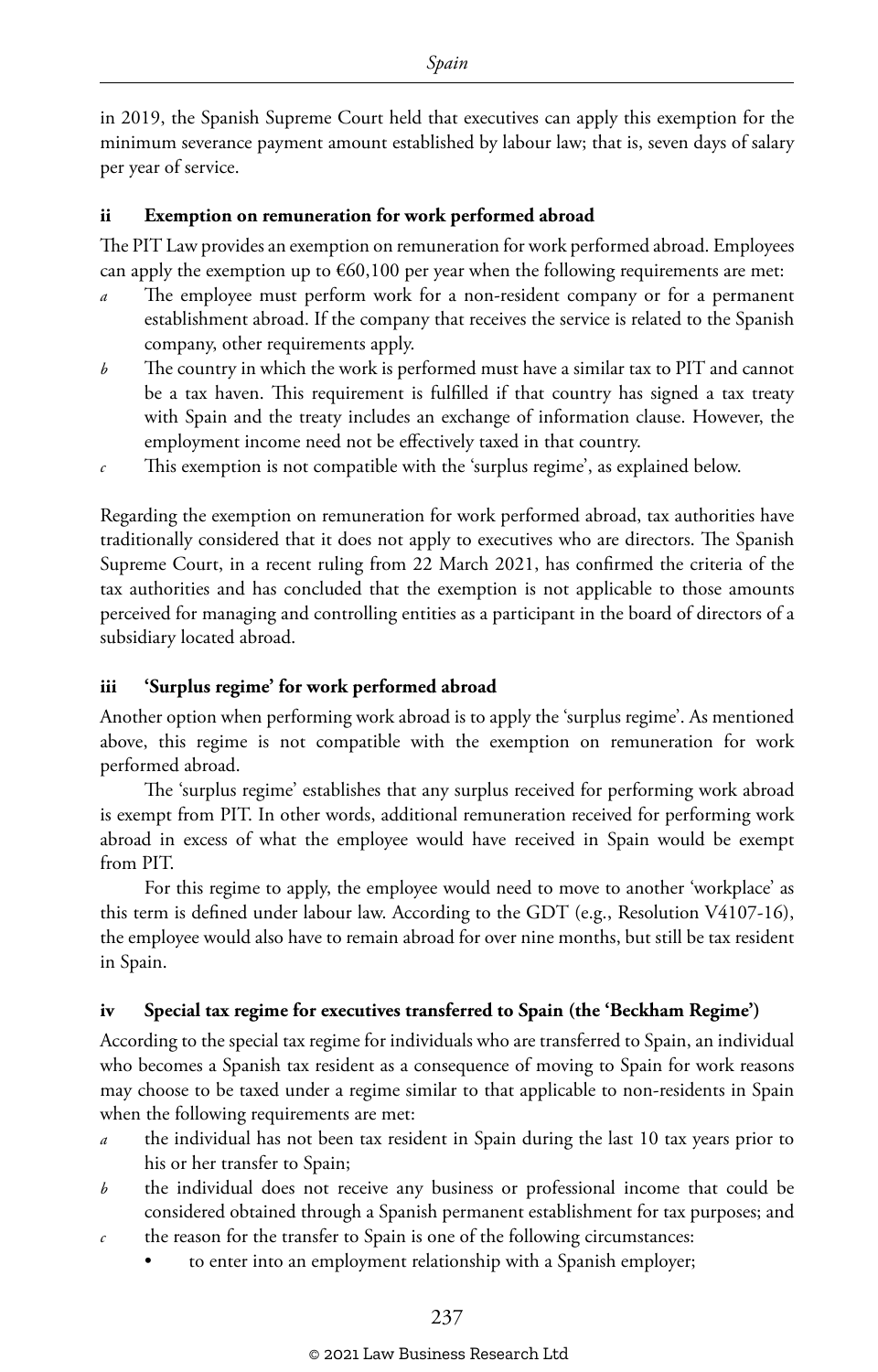in 2019, the Spanish Supreme Court held that executives can apply this exemption for the minimum severance payment amount established by labour law; that is, seven days of salary per year of service.

#### **ii Exemption on remuneration for work performed abroad**

The PIT Law provides an exemption on remuneration for work performed abroad. Employees can apply the exemption up to  $\epsilon$ 60,100 per year when the following requirements are met:

- The employee must perform work for a non-resident company or for a permanent establishment abroad. If the company that receives the service is related to the Spanish company, other requirements apply.
- *b* The country in which the work is performed must have a similar tax to PIT and cannot be a tax haven. This requirement is fulfilled if that country has signed a tax treaty with Spain and the treaty includes an exchange of information clause. However, the employment income need not be effectively taxed in that country.
- *c* This exemption is not compatible with the 'surplus regime', as explained below.

Regarding the exemption on remuneration for work performed abroad, tax authorities have traditionally considered that it does not apply to executives who are directors. The Spanish Supreme Court, in a recent ruling from 22 March 2021, has confirmed the criteria of the tax authorities and has concluded that the exemption is not applicable to those amounts perceived for managing and controlling entities as a participant in the board of directors of a subsidiary located abroad.

#### **iii 'Surplus regime' for work performed abroad**

Another option when performing work abroad is to apply the 'surplus regime'. As mentioned above, this regime is not compatible with the exemption on remuneration for work performed abroad.

The 'surplus regime' establishes that any surplus received for performing work abroad is exempt from PIT. In other words, additional remuneration received for performing work abroad in excess of what the employee would have received in Spain would be exempt from PIT.

For this regime to apply, the employee would need to move to another 'workplace' as this term is defined under labour law. According to the GDT (e.g., Resolution V4107-16), the employee would also have to remain abroad for over nine months, but still be tax resident in Spain.

#### **iv Special tax regime for executives transferred to Spain (the 'Beckham Regime')**

According to the special tax regime for individuals who are transferred to Spain, an individual who becomes a Spanish tax resident as a consequence of moving to Spain for work reasons may choose to be taxed under a regime similar to that applicable to non-residents in Spain when the following requirements are met:

- *a* the individual has not been tax resident in Spain during the last 10 tax years prior to his or her transfer to Spain;
- *b* the individual does not receive any business or professional income that could be considered obtained through a Spanish permanent establishment for tax purposes; and
- *c* the reason for the transfer to Spain is one of the following circumstances:
	- to enter into an employment relationship with a Spanish employer;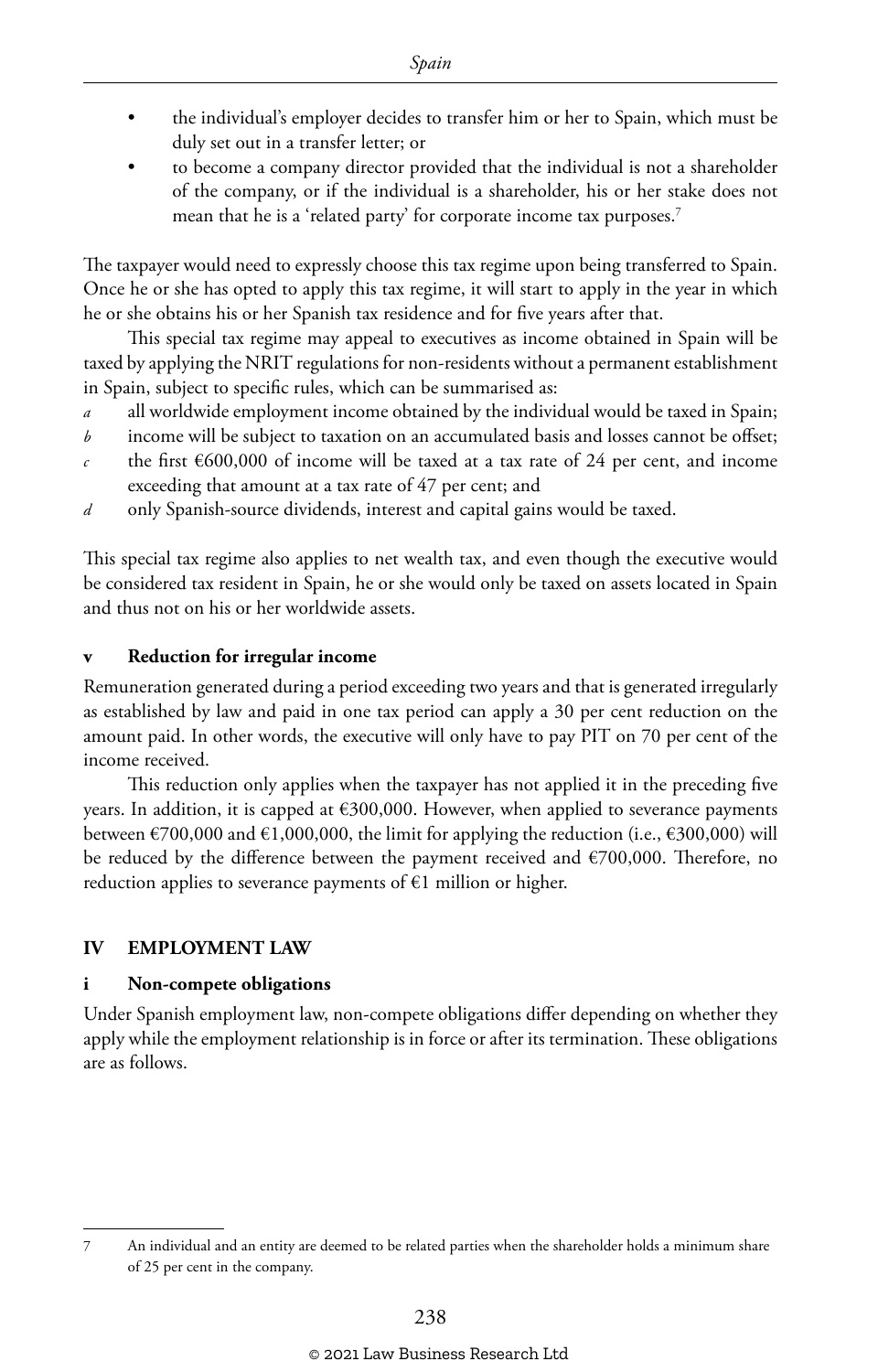- the individual's employer decides to transfer him or her to Spain, which must be duly set out in a transfer letter; or
- to become a company director provided that the individual is not a shareholder of the company, or if the individual is a shareholder, his or her stake does not mean that he is a 'related party' for corporate income tax purposes.<sup>7</sup>

The taxpayer would need to expressly choose this tax regime upon being transferred to Spain. Once he or she has opted to apply this tax regime, it will start to apply in the year in which he or she obtains his or her Spanish tax residence and for five years after that.

This special tax regime may appeal to executives as income obtained in Spain will be taxed by applying the NRIT regulations for non-residents without a permanent establishment in Spain, subject to specific rules, which can be summarised as:

- *a* all worldwide employment income obtained by the individual would be taxed in Spain;
- *b* income will be subject to taxation on an accumulated basis and losses cannot be offset;
- *c* the first  $\epsilon$ 600,000 of income will be taxed at a tax rate of 24 per cent, and income exceeding that amount at a tax rate of 47 per cent; and
- *d* only Spanish-source dividends, interest and capital gains would be taxed.

This special tax regime also applies to net wealth tax, and even though the executive would be considered tax resident in Spain, he or she would only be taxed on assets located in Spain and thus not on his or her worldwide assets.

#### **v Reduction for irregular income**

Remuneration generated during a period exceeding two years and that is generated irregularly as established by law and paid in one tax period can apply a 30 per cent reduction on the amount paid. In other words, the executive will only have to pay PIT on 70 per cent of the income received.

This reduction only applies when the taxpayer has not applied it in the preceding five years. In addition, it is capped at €300,000. However, when applied to severance payments between  $\epsilon$ 700,000 and  $\epsilon$ 1,000,000, the limit for applying the reduction (i.e.,  $\epsilon$ 300,000) will be reduced by the difference between the payment received and  $\epsilon$ 700,000. Therefore, no reduction applies to severance payments of  $\epsilon$ 1 million or higher.

#### **IV EMPLOYMENT LAW**

#### **i Non-compete obligations**

Under Spanish employment law, non-compete obligations differ depending on whether they apply while the employment relationship is in force or after its termination. These obligations are as follows.

<sup>7</sup> An individual and an entity are deemed to be related parties when the shareholder holds a minimum share of 25 per cent in the company.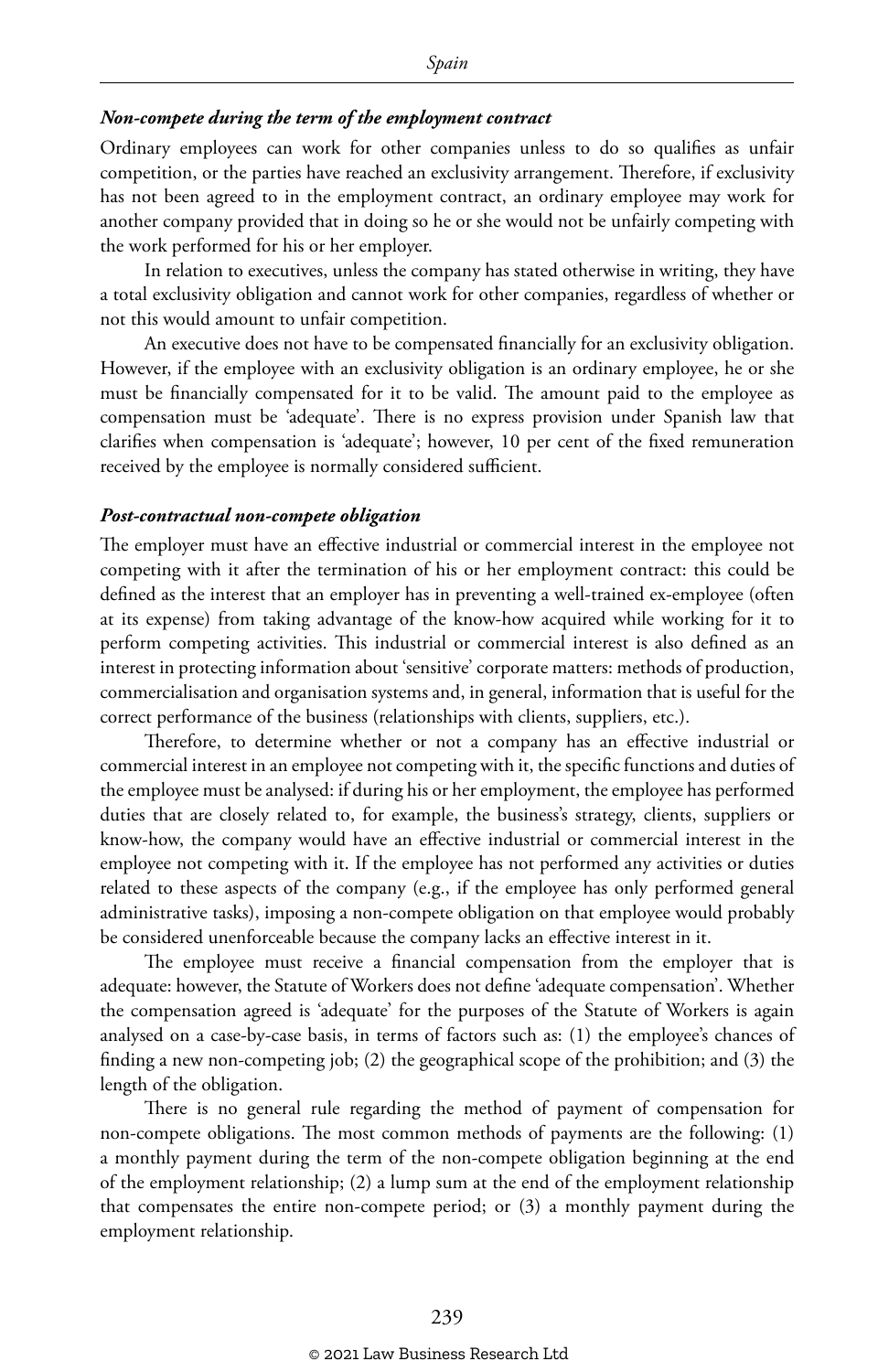#### *Non-compete during the term of the employment contract*

Ordinary employees can work for other companies unless to do so qualifies as unfair competition, or the parties have reached an exclusivity arrangement. Therefore, if exclusivity has not been agreed to in the employment contract, an ordinary employee may work for another company provided that in doing so he or she would not be unfairly competing with the work performed for his or her employer.

In relation to executives, unless the company has stated otherwise in writing, they have a total exclusivity obligation and cannot work for other companies, regardless of whether or not this would amount to unfair competition.

An executive does not have to be compensated financially for an exclusivity obligation. However, if the employee with an exclusivity obligation is an ordinary employee, he or she must be financially compensated for it to be valid. The amount paid to the employee as compensation must be 'adequate'. There is no express provision under Spanish law that clarifies when compensation is 'adequate'; however, 10 per cent of the fixed remuneration received by the employee is normally considered sufficient.

#### *Post-contractual non-compete obligation*

The employer must have an effective industrial or commercial interest in the employee not competing with it after the termination of his or her employment contract: this could be defined as the interest that an employer has in preventing a well-trained ex-employee (often at its expense) from taking advantage of the know-how acquired while working for it to perform competing activities. This industrial or commercial interest is also defined as an interest in protecting information about 'sensitive' corporate matters: methods of production, commercialisation and organisation systems and, in general, information that is useful for the correct performance of the business (relationships with clients, suppliers, etc.).

Therefore, to determine whether or not a company has an effective industrial or commercial interest in an employee not competing with it, the specific functions and duties of the employee must be analysed: if during his or her employment, the employee has performed duties that are closely related to, for example, the business's strategy, clients, suppliers or know-how, the company would have an effective industrial or commercial interest in the employee not competing with it. If the employee has not performed any activities or duties related to these aspects of the company (e.g., if the employee has only performed general administrative tasks), imposing a non-compete obligation on that employee would probably be considered unenforceable because the company lacks an effective interest in it.

The employee must receive a financial compensation from the employer that is adequate: however, the Statute of Workers does not define 'adequate compensation'. Whether the compensation agreed is 'adequate' for the purposes of the Statute of Workers is again analysed on a case-by-case basis, in terms of factors such as: (1) the employee's chances of finding a new non-competing job; (2) the geographical scope of the prohibition; and (3) the length of the obligation.

There is no general rule regarding the method of payment of compensation for non-compete obligations. The most common methods of payments are the following: (1) a monthly payment during the term of the non-compete obligation beginning at the end of the employment relationship; (2) a lump sum at the end of the employment relationship that compensates the entire non-compete period; or (3) a monthly payment during the employment relationship.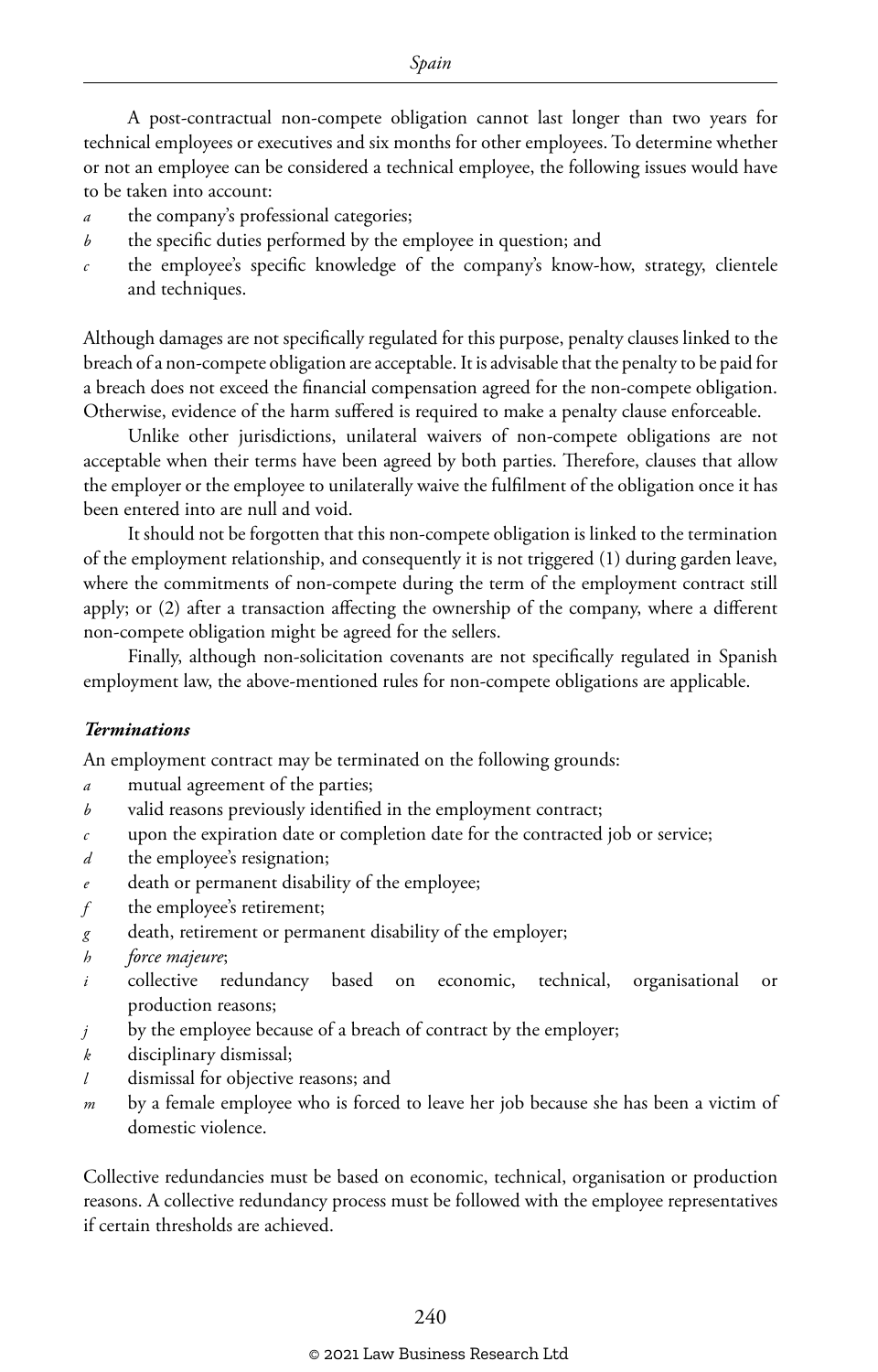A post-contractual non-compete obligation cannot last longer than two years for technical employees or executives and six months for other employees. To determine whether or not an employee can be considered a technical employee, the following issues would have to be taken into account:

- *a* the company's professional categories;
- *b* the specific duties performed by the employee in question; and
- *c* the employee's specific knowledge of the company's know-how, strategy, clientele and techniques.

Although damages are not specifically regulated for this purpose, penalty clauses linked to the breach of a non-compete obligation are acceptable. It is advisable that the penalty to be paid for a breach does not exceed the financial compensation agreed for the non-compete obligation. Otherwise, evidence of the harm suffered is required to make a penalty clause enforceable.

Unlike other jurisdictions, unilateral waivers of non-compete obligations are not acceptable when their terms have been agreed by both parties. Therefore, clauses that allow the employer or the employee to unilaterally waive the fulfilment of the obligation once it has been entered into are null and void.

It should not be forgotten that this non-compete obligation is linked to the termination of the employment relationship, and consequently it is not triggered (1) during garden leave, where the commitments of non-compete during the term of the employment contract still apply; or (2) after a transaction affecting the ownership of the company, where a different non-compete obligation might be agreed for the sellers.

Finally, although non-solicitation covenants are not specifically regulated in Spanish employment law, the above-mentioned rules for non-compete obligations are applicable.

#### *Terminations*

An employment contract may be terminated on the following grounds:

- *a* mutual agreement of the parties;
- *b* valid reasons previously identified in the employment contract;
- *c* upon the expiration date or completion date for the contracted job or service;
- *d* the employee's resignation;
- *e* death or permanent disability of the employee;
- *f* the employee's retirement;
- *g* death, retirement or permanent disability of the employer;
- *h force majeure*;
- *i* collective redundancy based on economic, technical, organisational or production reasons;
- *j* by the employee because of a breach of contract by the employer;
- *k* disciplinary dismissal;
- *l* dismissal for objective reasons; and
- *m* by a female employee who is forced to leave her job because she has been a victim of domestic violence.

Collective redundancies must be based on economic, technical, organisation or production reasons. A collective redundancy process must be followed with the employee representatives if certain thresholds are achieved.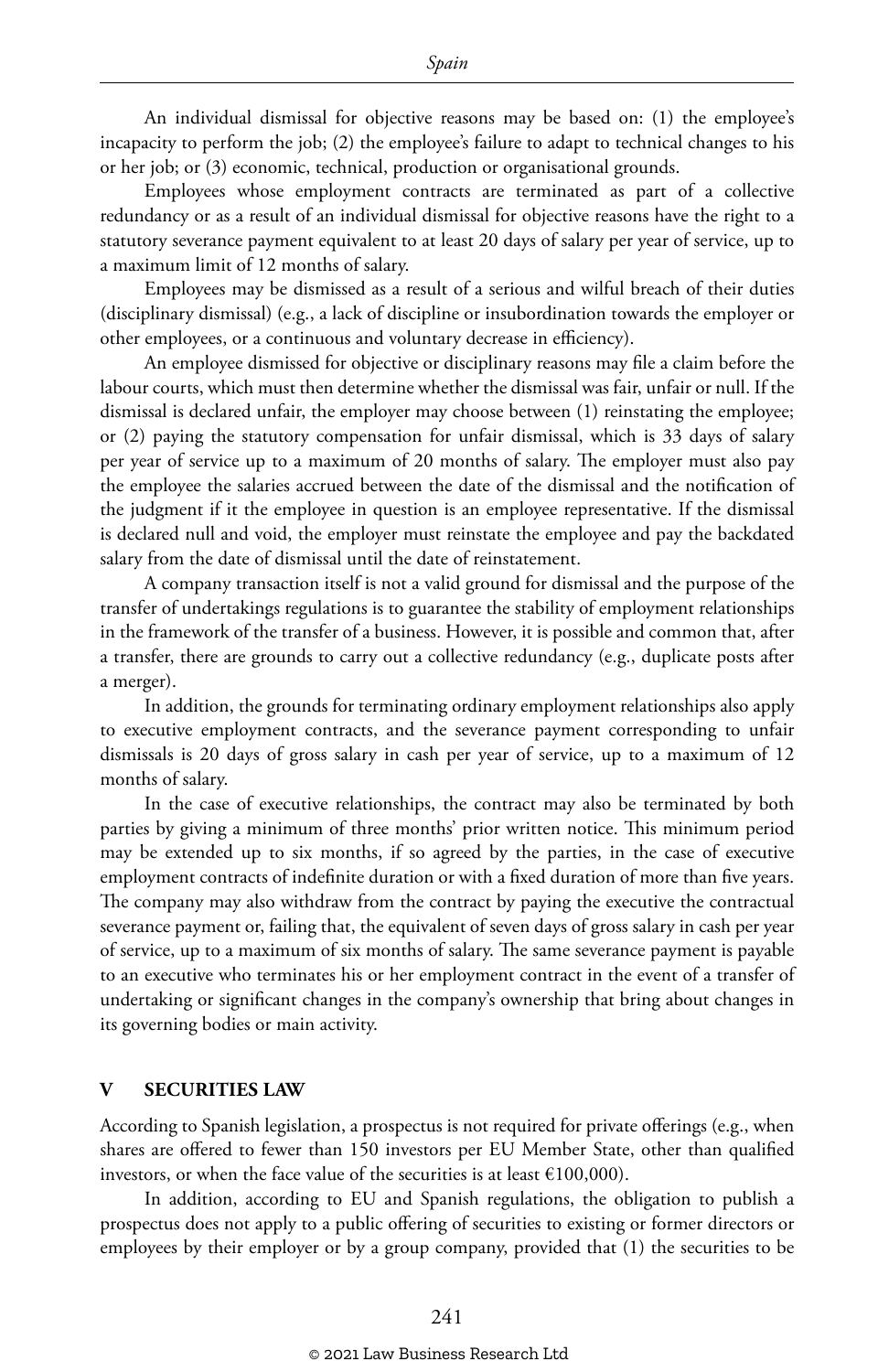An individual dismissal for objective reasons may be based on: (1) the employee's incapacity to perform the job; (2) the employee's failure to adapt to technical changes to his or her job; or (3) economic, technical, production or organisational grounds.

Employees whose employment contracts are terminated as part of a collective redundancy or as a result of an individual dismissal for objective reasons have the right to a statutory severance payment equivalent to at least 20 days of salary per year of service, up to a maximum limit of 12 months of salary.

Employees may be dismissed as a result of a serious and wilful breach of their duties (disciplinary dismissal) (e.g., a lack of discipline or insubordination towards the employer or other employees, or a continuous and voluntary decrease in efficiency).

An employee dismissed for objective or disciplinary reasons may file a claim before the labour courts, which must then determine whether the dismissal was fair, unfair or null. If the dismissal is declared unfair, the employer may choose between (1) reinstating the employee; or (2) paying the statutory compensation for unfair dismissal, which is 33 days of salary per year of service up to a maximum of 20 months of salary. The employer must also pay the employee the salaries accrued between the date of the dismissal and the notification of the judgment if it the employee in question is an employee representative. If the dismissal is declared null and void, the employer must reinstate the employee and pay the backdated salary from the date of dismissal until the date of reinstatement.

A company transaction itself is not a valid ground for dismissal and the purpose of the transfer of undertakings regulations is to guarantee the stability of employment relationships in the framework of the transfer of a business. However, it is possible and common that, after a transfer, there are grounds to carry out a collective redundancy (e.g., duplicate posts after a merger).

In addition, the grounds for terminating ordinary employment relationships also apply to executive employment contracts, and the severance payment corresponding to unfair dismissals is 20 days of gross salary in cash per year of service, up to a maximum of 12 months of salary.

In the case of executive relationships, the contract may also be terminated by both parties by giving a minimum of three months' prior written notice. This minimum period may be extended up to six months, if so agreed by the parties, in the case of executive employment contracts of indefinite duration or with a fixed duration of more than five years. The company may also withdraw from the contract by paying the executive the contractual severance payment or, failing that, the equivalent of seven days of gross salary in cash per year of service, up to a maximum of six months of salary. The same severance payment is payable to an executive who terminates his or her employment contract in the event of a transfer of undertaking or significant changes in the company's ownership that bring about changes in its governing bodies or main activity.

#### **V SECURITIES LAW**

According to Spanish legislation, a prospectus is not required for private offerings (e.g., when shares are offered to fewer than 150 investors per EU Member State, other than qualified investors, or when the face value of the securities is at least  $€100,000$ ).

In addition, according to EU and Spanish regulations, the obligation to publish a prospectus does not apply to a public offering of securities to existing or former directors or employees by their employer or by a group company, provided that (1) the securities to be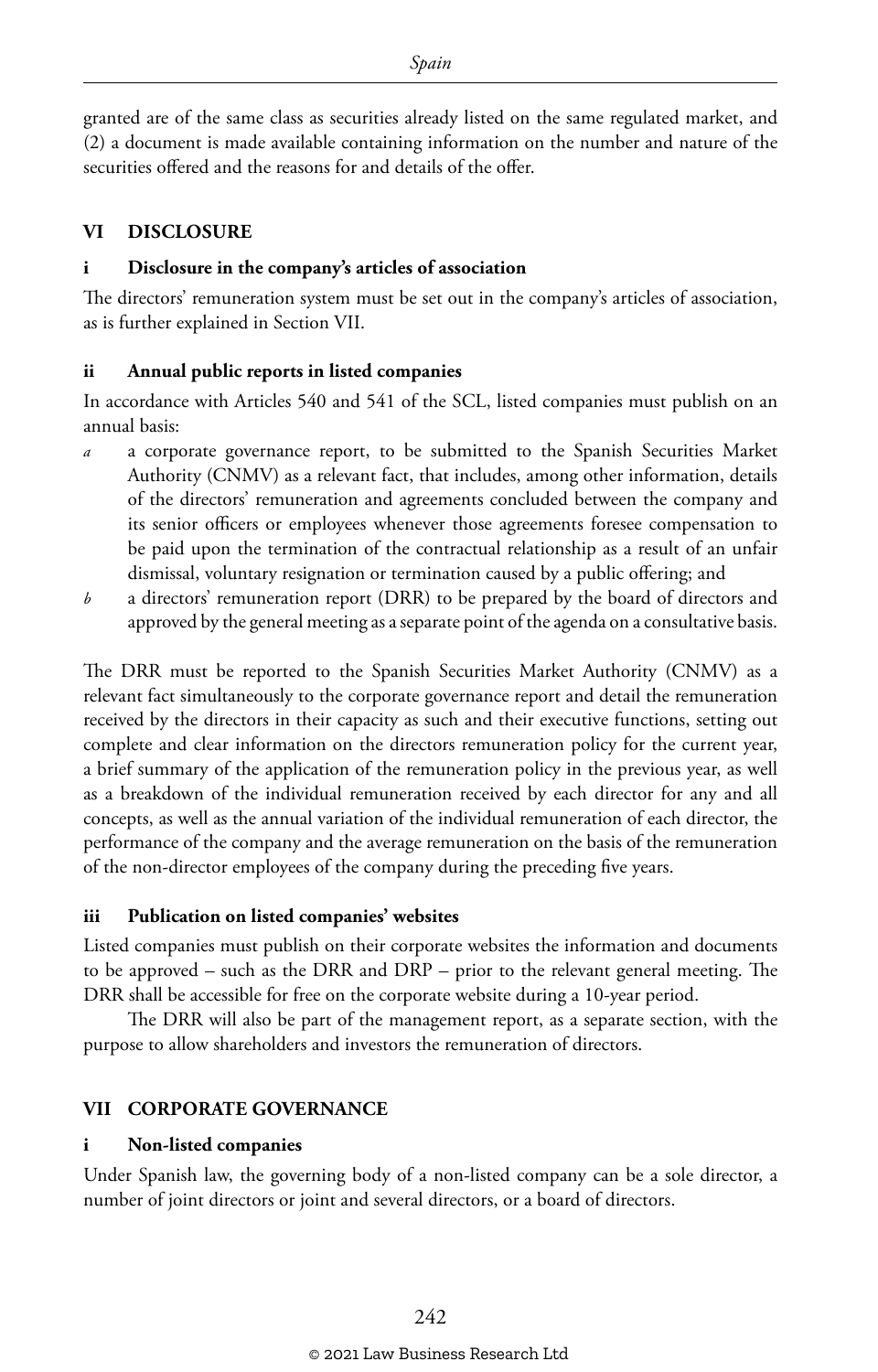granted are of the same class as securities already listed on the same regulated market, and (2) a document is made available containing information on the number and nature of the securities offered and the reasons for and details of the offer.

#### **VI DISCLOSURE**

#### **i Disclosure in the company's articles of association**

The directors' remuneration system must be set out in the company's articles of association, as is further explained in Section VII.

#### **ii Annual public reports in listed companies**

In accordance with Articles 540 and 541 of the SCL, listed companies must publish on an annual basis:

- *a* a corporate governance report, to be submitted to the Spanish Securities Market Authority (CNMV) as a relevant fact, that includes, among other information, details of the directors' remuneration and agreements concluded between the company and its senior officers or employees whenever those agreements foresee compensation to be paid upon the termination of the contractual relationship as a result of an unfair dismissal, voluntary resignation or termination caused by a public offering; and
- *b* a directors' remuneration report (DRR) to be prepared by the board of directors and approved by the general meeting as a separate point of the agenda on a consultative basis.

The DRR must be reported to the Spanish Securities Market Authority (CNMV) as a relevant fact simultaneously to the corporate governance report and detail the remuneration received by the directors in their capacity as such and their executive functions, setting out complete and clear information on the directors remuneration policy for the current year, a brief summary of the application of the remuneration policy in the previous year, as well as a breakdown of the individual remuneration received by each director for any and all concepts, as well as the annual variation of the individual remuneration of each director, the performance of the company and the average remuneration on the basis of the remuneration of the non-director employees of the company during the preceding five years.

#### **iii Publication on listed companies' websites**

Listed companies must publish on their corporate websites the information and documents to be approved – such as the DRR and DRP – prior to the relevant general meeting. The DRR shall be accessible for free on the corporate website during a 10-year period.

The DRR will also be part of the management report, as a separate section, with the purpose to allow shareholders and investors the remuneration of directors.

#### **VII CORPORATE GOVERNANCE**

#### **i Non-listed companies**

Under Spanish law, the governing body of a non-listed company can be a sole director, a number of joint directors or joint and several directors, or a board of directors.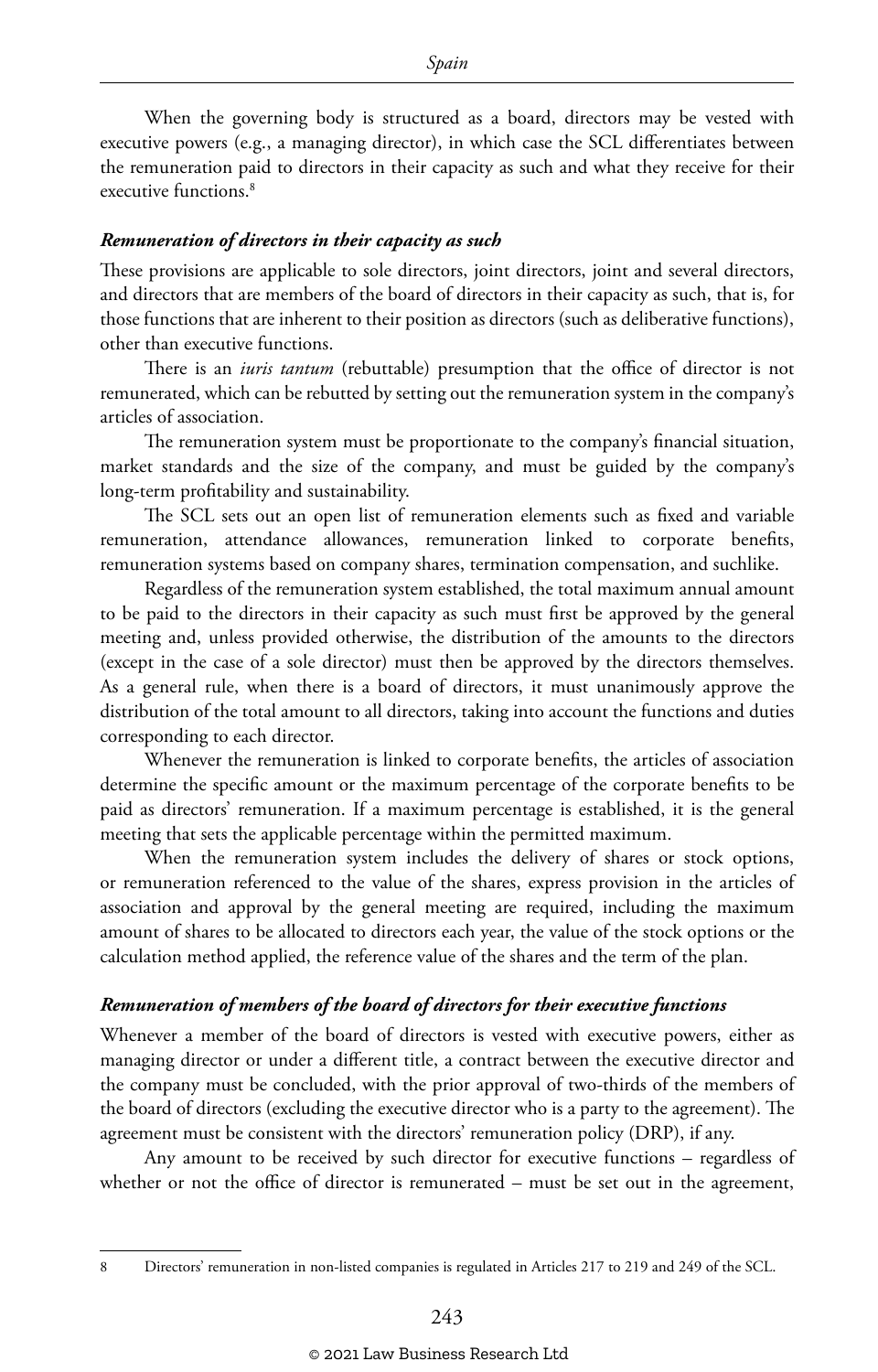When the governing body is structured as a board, directors may be vested with executive powers (e.g., a managing director), in which case the SCL differentiates between the remuneration paid to directors in their capacity as such and what they receive for their executive functions.<sup>8</sup>

#### *Remuneration of directors in their capacity as such*

These provisions are applicable to sole directors, joint directors, joint and several directors, and directors that are members of the board of directors in their capacity as such, that is, for those functions that are inherent to their position as directors (such as deliberative functions), other than executive functions.

There is an *iuris tantum* (rebuttable) presumption that the office of director is not remunerated, which can be rebutted by setting out the remuneration system in the company's articles of association.

The remuneration system must be proportionate to the company's financial situation, market standards and the size of the company, and must be guided by the company's long-term profitability and sustainability.

The SCL sets out an open list of remuneration elements such as fixed and variable remuneration, attendance allowances, remuneration linked to corporate benefits, remuneration systems based on company shares, termination compensation, and suchlike.

Regardless of the remuneration system established, the total maximum annual amount to be paid to the directors in their capacity as such must first be approved by the general meeting and, unless provided otherwise, the distribution of the amounts to the directors (except in the case of a sole director) must then be approved by the directors themselves. As a general rule, when there is a board of directors, it must unanimously approve the distribution of the total amount to all directors, taking into account the functions and duties corresponding to each director.

Whenever the remuneration is linked to corporate benefits, the articles of association determine the specific amount or the maximum percentage of the corporate benefits to be paid as directors' remuneration. If a maximum percentage is established, it is the general meeting that sets the applicable percentage within the permitted maximum.

When the remuneration system includes the delivery of shares or stock options, or remuneration referenced to the value of the shares, express provision in the articles of association and approval by the general meeting are required, including the maximum amount of shares to be allocated to directors each year, the value of the stock options or the calculation method applied, the reference value of the shares and the term of the plan.

#### *Remuneration of members of the board of directors for their executive functions*

Whenever a member of the board of directors is vested with executive powers, either as managing director or under a different title, a contract between the executive director and the company must be concluded, with the prior approval of two-thirds of the members of the board of directors (excluding the executive director who is a party to the agreement). The agreement must be consistent with the directors' remuneration policy (DRP), if any.

Any amount to be received by such director for executive functions – regardless of whether or not the office of director is remunerated – must be set out in the agreement,

<sup>8</sup> Directors' remuneration in non-listed companies is regulated in Articles 217 to 219 and 249 of the SCL.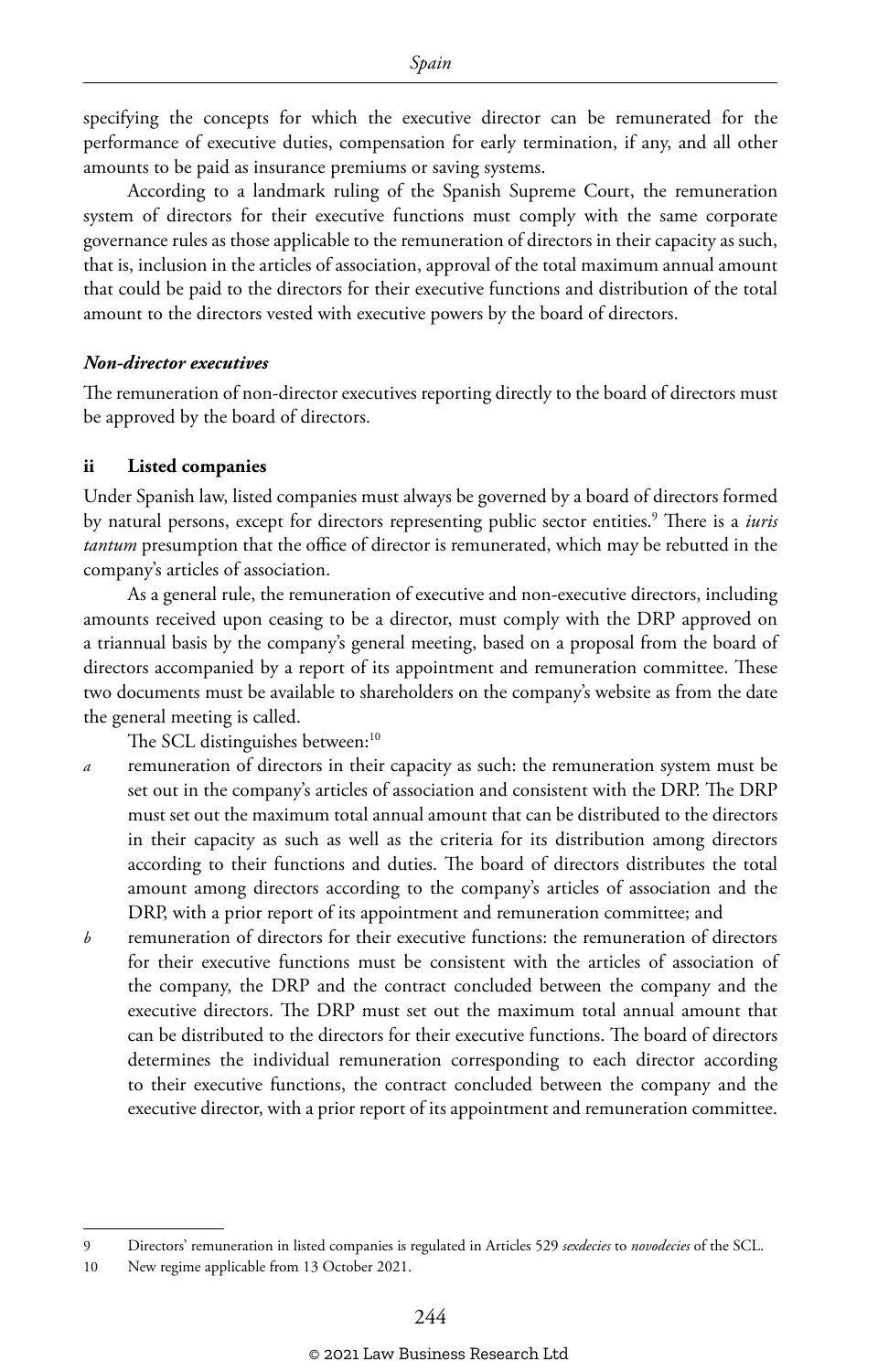specifying the concepts for which the executive director can be remunerated for the performance of executive duties, compensation for early termination, if any, and all other amounts to be paid as insurance premiums or saving systems.

According to a landmark ruling of the Spanish Supreme Court, the remuneration system of directors for their executive functions must comply with the same corporate governance rules as those applicable to the remuneration of directors in their capacity as such, that is, inclusion in the articles of association, approval of the total maximum annual amount that could be paid to the directors for their executive functions and distribution of the total amount to the directors vested with executive powers by the board of directors.

#### *Non-director executives*

The remuneration of non-director executives reporting directly to the board of directors must be approved by the board of directors.

#### **ii Listed companies**

Under Spanish law, listed companies must always be governed by a board of directors formed by natural persons, except for directors representing public sector entities.<sup>9</sup> There is a *iuris tantum* presumption that the office of director is remunerated, which may be rebutted in the company's articles of association.

As a general rule, the remuneration of executive and non-executive directors, including amounts received upon ceasing to be a director, must comply with the DRP approved on a triannual basis by the company's general meeting, based on a proposal from the board of directors accompanied by a report of its appointment and remuneration committee. These two documents must be available to shareholders on the company's website as from the date the general meeting is called.

The SCL distinguishes between:<sup>10</sup>

- *a* remuneration of directors in their capacity as such: the remuneration system must be set out in the company's articles of association and consistent with the DRP. The DRP must set out the maximum total annual amount that can be distributed to the directors in their capacity as such as well as the criteria for its distribution among directors according to their functions and duties. The board of directors distributes the total amount among directors according to the company's articles of association and the DRP, with a prior report of its appointment and remuneration committee; and
- *b* remuneration of directors for their executive functions: the remuneration of directors for their executive functions must be consistent with the articles of association of the company, the DRP and the contract concluded between the company and the executive directors. The DRP must set out the maximum total annual amount that can be distributed to the directors for their executive functions. The board of directors determines the individual remuneration corresponding to each director according to their executive functions, the contract concluded between the company and the executive director, with a prior report of its appointment and remuneration committee.

<sup>9</sup> Directors' remuneration in listed companies is regulated in Articles 529 *sexdecies* to *novodecies* of the SCL.

<sup>10</sup> New regime applicable from 13 October 2021.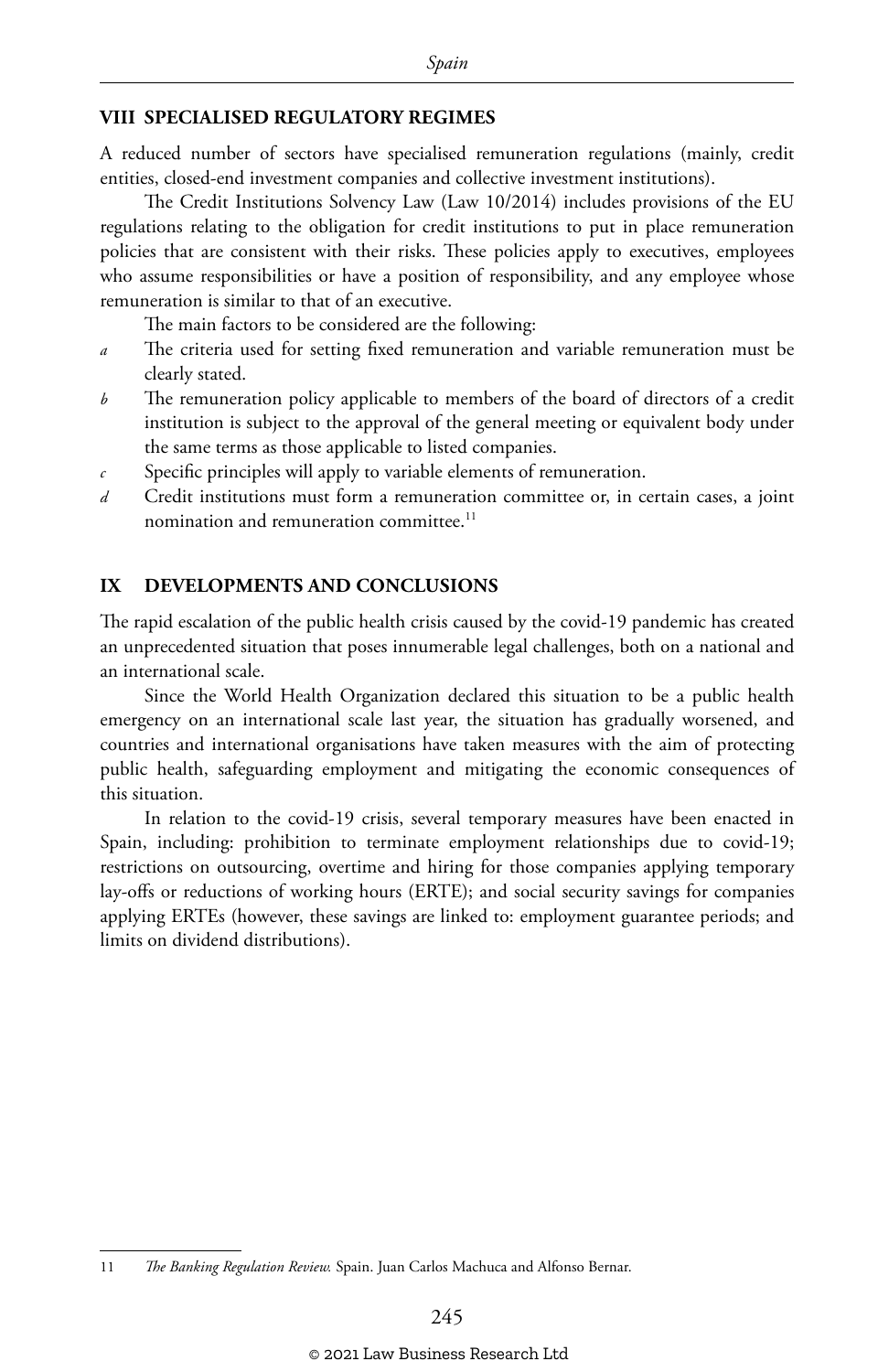#### **VIII SPECIALISED REGULATORY REGIMES**

A reduced number of sectors have specialised remuneration regulations (mainly, credit entities, closed-end investment companies and collective investment institutions).

The Credit Institutions Solvency Law (Law 10/2014) includes provisions of the EU regulations relating to the obligation for credit institutions to put in place remuneration policies that are consistent with their risks. These policies apply to executives, employees who assume responsibilities or have a position of responsibility, and any employee whose remuneration is similar to that of an executive.

The main factors to be considered are the following:

- *a* The criteria used for setting fixed remuneration and variable remuneration must be clearly stated.
- *b* The remuneration policy applicable to members of the board of directors of a credit institution is subject to the approval of the general meeting or equivalent body under the same terms as those applicable to listed companies.
- *c* Specific principles will apply to variable elements of remuneration.
- *d* Credit institutions must form a remuneration committee or, in certain cases, a joint nomination and remuneration committee.<sup>11</sup>

#### **IX DEVELOPMENTS AND CONCLUSIONS**

The rapid escalation of the public health crisis caused by the covid-19 pandemic has created an unprecedented situation that poses innumerable legal challenges, both on a national and an international scale.

Since the World Health Organization declared this situation to be a public health emergency on an international scale last year, the situation has gradually worsened, and countries and international organisations have taken measures with the aim of protecting public health, safeguarding employment and mitigating the economic consequences of this situation.

In relation to the covid-19 crisis, several temporary measures have been enacted in Spain, including: prohibition to terminate employment relationships due to covid-19; restrictions on outsourcing, overtime and hiring for those companies applying temporary lay-offs or reductions of working hours (ERTE); and social security savings for companies applying ERTEs (however, these savings are linked to: employment guarantee periods; and limits on dividend distributions).

<sup>11</sup> *The Banking Regulation Review.* Spain. Juan Carlos Machuca and Alfonso Bernar.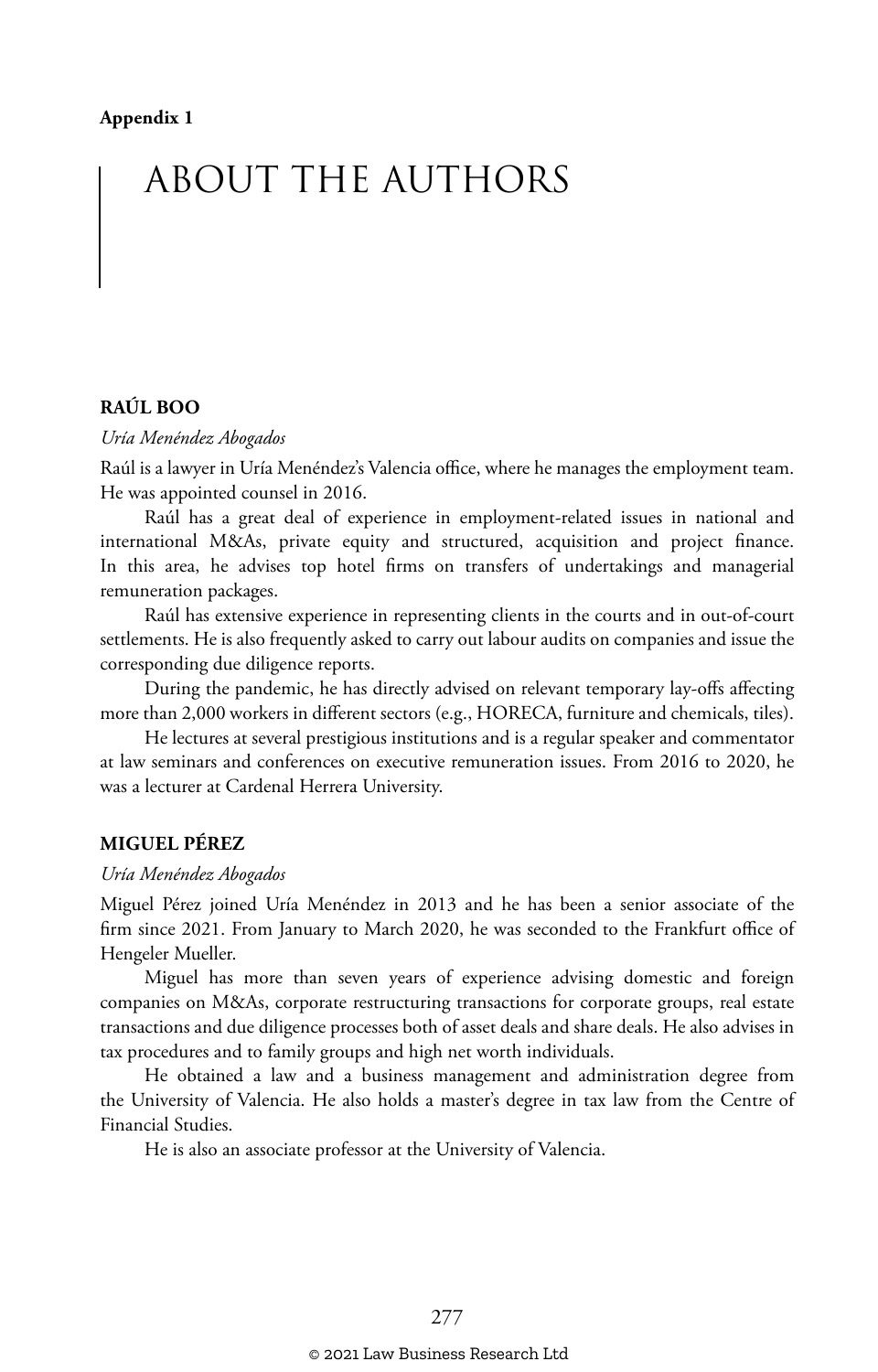## ABOUT THE AUTHORS

#### **RAÚL BOO**

#### *Uría Menéndez Abogados*

Raúl is a lawyer in Uría Menéndez's Valencia office, where he manages the employment team. He was appointed counsel in 2016.

Raúl has a great deal of experience in employment-related issues in national and international M&As, private equity and structured, acquisition and project finance. In this area, he advises top hotel firms on transfers of undertakings and managerial remuneration packages.

Raúl has extensive experience in representing clients in the courts and in out-of-court settlements. He is also frequently asked to carry out labour audits on companies and issue the corresponding due diligence reports.

During the pandemic, he has directly advised on relevant temporary lay-offs affecting more than 2,000 workers in different sectors (e.g., HORECA, furniture and chemicals, tiles).

He lectures at several prestigious institutions and is a regular speaker and commentator at law seminars and conferences on executive remuneration issues. From 2016 to 2020, he was a lecturer at Cardenal Herrera University.

#### **MIGUEL PÉREZ**

#### *Uría Menéndez Abogados*

Miguel Pérez joined Uría Menéndez in 2013 and he has been a senior associate of the firm since 2021. From January to March 2020, he was seconded to the Frankfurt office of Hengeler Mueller.

Miguel has more than seven years of experience advising domestic and foreign companies on M&As, corporate restructuring transactions for corporate groups, real estate transactions and due diligence processes both of asset deals and share deals. He also advises in tax procedures and to family groups and high net worth individuals.

He obtained a law and a business management and administration degree from the University of Valencia. He also holds a master's degree in tax law from the Centre of Financial Studies.

He is also an associate professor at the University of Valencia.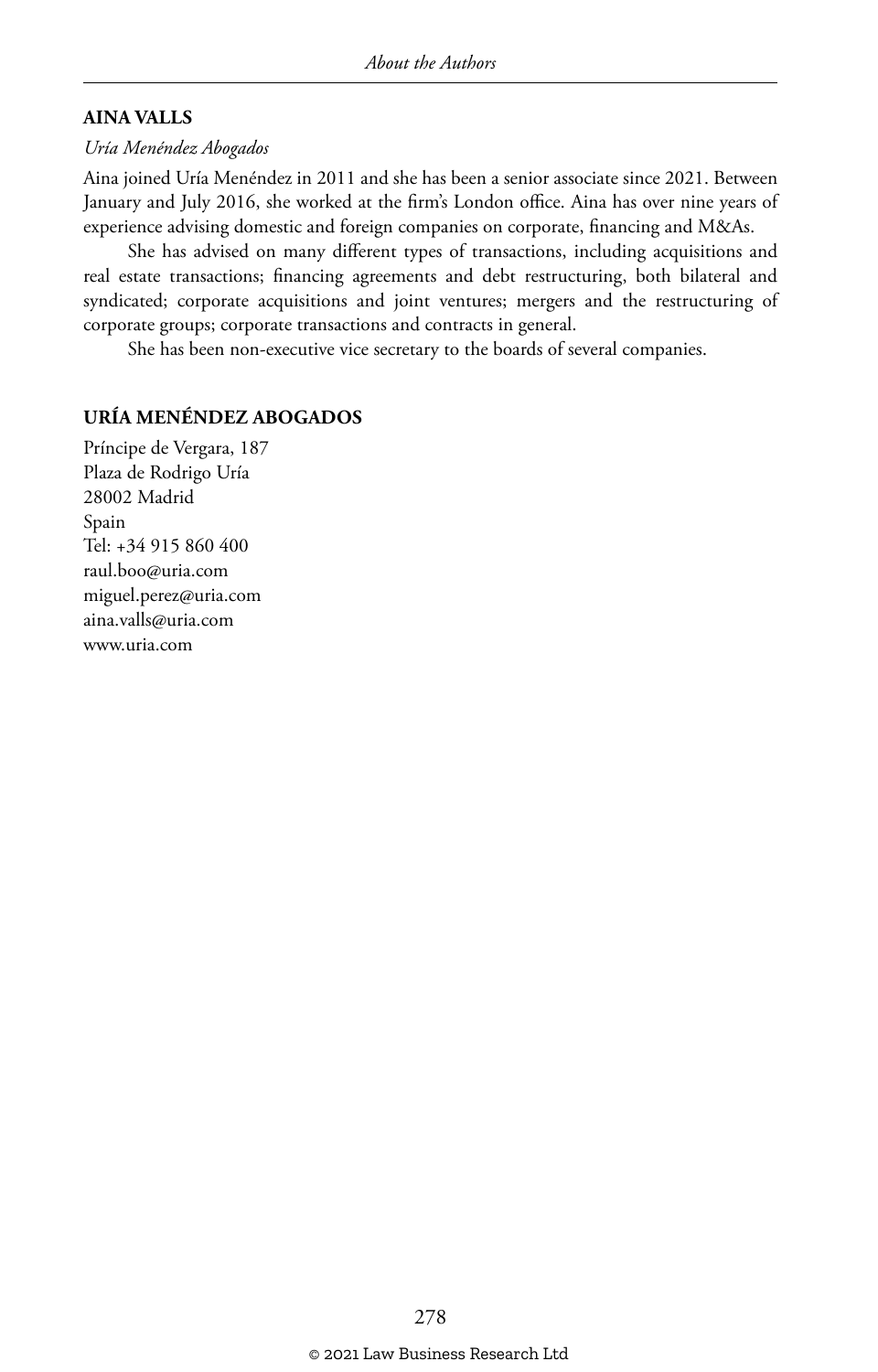#### **AINA VALLS**

#### *Uría Menéndez Abogados*

Aina joined Uría Menéndez in 2011 and she has been a senior associate since 2021. Between January and July 2016, she worked at the firm's London office. Aina has over nine years of experience advising domestic and foreign companies on corporate, financing and M&As.

She has advised on many different types of transactions, including acquisitions and real estate transactions; financing agreements and debt restructuring, both bilateral and syndicated; corporate acquisitions and joint ventures; mergers and the restructuring of corporate groups; corporate transactions and contracts in general.

She has been non-executive vice secretary to the boards of several companies.

#### **URÍA MENÉNDEZ ABOGADOS**

Príncipe de Vergara, 187 Plaza de Rodrigo Uría 28002 Madrid Spain Tel: +34 915 860 400 raul.boo@uria.com miguel.perez@uria.com aina.valls@uria.com www.uria.com